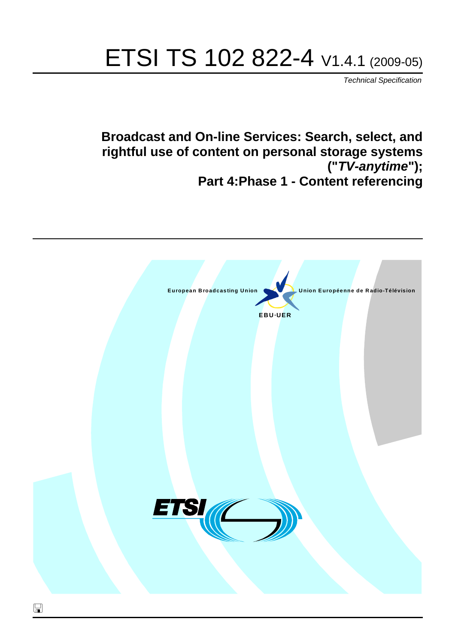# ETSI TS 102 822-4 V1.4.1 (2009-05)

*Technical Specification*

**Broadcast and On-line Services: Search, select, and rightful use of content on personal storage systems ("***TV-anytime***"); Part 4:Phase 1 - Content referencing**

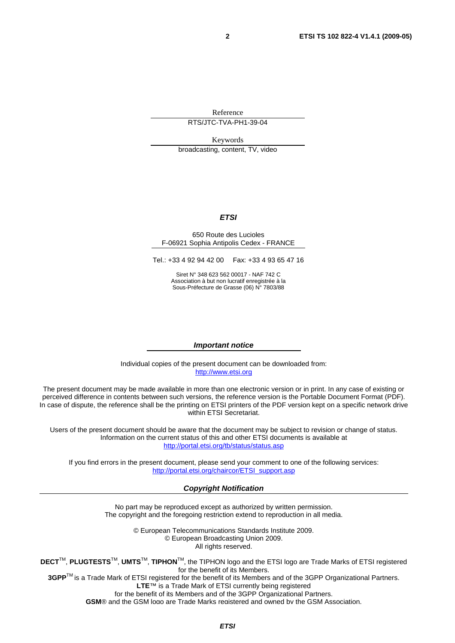Reference

RTS/JTC-TVA-PH1-39-04

Keywords

broadcasting, content, TV, video

#### *ETSI*

#### 650 Route des Lucioles F-06921 Sophia Antipolis Cedex - FRANCE

Tel.: +33 4 92 94 42 00 Fax: +33 4 93 65 47 16

Siret N° 348 623 562 00017 - NAF 742 C Association à but non lucratif enregistrée à la Sous-Préfecture de Grasse (06) N° 7803/88

#### *Important notice*

Individual copies of the present document can be downloaded from: [http://www.etsi.org](http://www.etsi.org/)

The present document may be made available in more than one electronic version or in print. In any case of existing or perceived difference in contents between such versions, the reference version is the Portable Document Format (PDF). In case of dispute, the reference shall be the printing on ETSI printers of the PDF version kept on a specific network drive within ETSI Secretariat.

Users of the present document should be aware that the document may be subject to revision or change of status. Information on the current status of this and other ETSI documents is available at <http://portal.etsi.org/tb/status/status.asp>

If you find errors in the present document, please send your comment to one of the following services: [http://portal.etsi.org/chaircor/ETSI\\_support.asp](http://portal.etsi.org/chaircor/ETSI_support.asp)

#### *Copyright Notification*

No part may be reproduced except as authorized by written permission. The copyright and the foregoing restriction extend to reproduction in all media.

> © European Telecommunications Standards Institute 2009. © European Broadcasting Union 2009. All rights reserved.

**DECT**TM, **PLUGTESTS**TM, **UMTS**TM, **TIPHON**TM, the TIPHON logo and the ETSI logo are Trade Marks of ETSI registered for the benefit of its Members. **3GPP**TM is a Trade Mark of ETSI registered for the benefit of its Members and of the 3GPP Organizational Partners.

**LTE**™ is a Trade Mark of ETSI currently being registered

for the benefit of its Members and of the 3GPP Organizational Partners.

**GSM**® and the GSM logo are Trade Marks registered and owned by the GSM Association.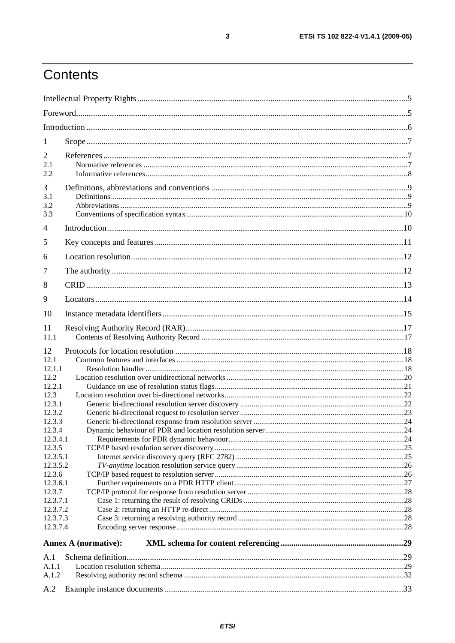# Contents

| 1                                                                                                                                                                                                                    |                             |  |
|----------------------------------------------------------------------------------------------------------------------------------------------------------------------------------------------------------------------|-----------------------------|--|
| $\overline{2}$<br>2.1<br>2.2                                                                                                                                                                                         |                             |  |
| 3<br>3.1<br>3.2<br>3.3                                                                                                                                                                                               |                             |  |
| 4                                                                                                                                                                                                                    |                             |  |
| 5                                                                                                                                                                                                                    |                             |  |
| 6                                                                                                                                                                                                                    |                             |  |
| 7                                                                                                                                                                                                                    |                             |  |
| 8                                                                                                                                                                                                                    |                             |  |
| 9                                                                                                                                                                                                                    |                             |  |
| 10                                                                                                                                                                                                                   |                             |  |
| 11                                                                                                                                                                                                                   |                             |  |
| 11.1                                                                                                                                                                                                                 |                             |  |
| 12<br>12.1<br>12.1.1<br>12.2<br>12.2.1<br>12.3<br>12.3.1<br>12.3.2<br>12.3.3<br>12.3.4<br>12.3.4.1<br>12.3.5<br>12.3.5.1<br>12.3.5.2<br>12.3.6<br>12.3.6.1<br>12.3.7<br>12.3.7.1<br>12.3.7.2<br>12.3.7.3<br>12.3.7.4 |                             |  |
|                                                                                                                                                                                                                      | <b>Annex A (normative):</b> |  |
| A.1                                                                                                                                                                                                                  |                             |  |
| A.1.1                                                                                                                                                                                                                |                             |  |
| A.1.2                                                                                                                                                                                                                |                             |  |
| A.2                                                                                                                                                                                                                  |                             |  |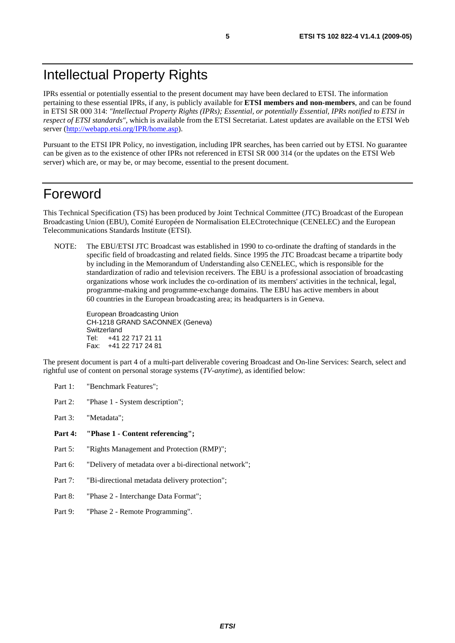# Intellectual Property Rights

IPRs essential or potentially essential to the present document may have been declared to ETSI. The information pertaining to these essential IPRs, if any, is publicly available for **ETSI members and non-members**, and can be found in ETSI SR 000 314: *"Intellectual Property Rights (IPRs); Essential, or potentially Essential, IPRs notified to ETSI in respect of ETSI standards"*, which is available from the ETSI Secretariat. Latest updates are available on the ETSI Web server ([http://webapp.etsi.org/IPR/home.asp\)](http://webapp.etsi.org/IPR/home.asp).

Pursuant to the ETSI IPR Policy, no investigation, including IPR searches, has been carried out by ETSI. No guarantee can be given as to the existence of other IPRs not referenced in ETSI SR 000 314 (or the updates on the ETSI Web server) which are, or may be, or may become, essential to the present document.

### Foreword

This Technical Specification (TS) has been produced by Joint Technical Committee (JTC) Broadcast of the European Broadcasting Union (EBU), Comité Européen de Normalisation ELECtrotechnique (CENELEC) and the European Telecommunications Standards Institute (ETSI).

NOTE: The EBU/ETSI JTC Broadcast was established in 1990 to co-ordinate the drafting of standards in the specific field of broadcasting and related fields. Since 1995 the JTC Broadcast became a tripartite body by including in the Memorandum of Understanding also CENELEC, which is responsible for the standardization of radio and television receivers. The EBU is a professional association of broadcasting organizations whose work includes the co-ordination of its members' activities in the technical, legal, programme-making and programme-exchange domains. The EBU has active members in about 60 countries in the European broadcasting area; its headquarters is in Geneva.

European Broadcasting Union CH-1218 GRAND SACONNEX (Geneva) Switzerland Tel: +41 22 717 21 11 Fax: +41 22 717 24 81

The present document is part 4 of a multi-part deliverable covering Broadcast and On-line Services: Search, select and rightful use of content on personal storage systems (*TV-anytime*), as identified below:

- Part 1: "Benchmark Features";
- Part 2: "Phase 1 System description";
- Part 3: "Metadata";
- **Part 4: "Phase 1 - Content referencing";**
- Part 5: "Rights Management and Protection (RMP)";
- Part 6: "Delivery of metadata over a bi-directional network";
- Part 7: "Bi-directional metadata delivery protection";
- Part 8: "Phase 2 Interchange Data Format";
- Part 9: "Phase 2 Remote Programming".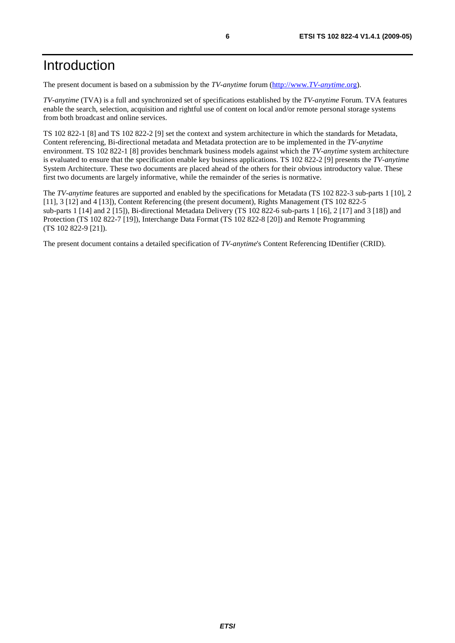# Introduction

The present document is based on a submission by the *TV-anytime* forum [\(http://www.](http://www.tv-anytime.org/)*TV-anytime*.org).

*TV-anytime* (TVA) is a full and synchronized set of specifications established by the *TV-anytime* Forum. TVA features enable the search, selection, acquisition and rightful use of content on local and/or remote personal storage systems from both broadcast and online services.

TS 102 822-1 [8] and TS 102 822-2 [9] set the context and system architecture in which the standards for Metadata, Content referencing, Bi-directional metadata and Metadata protection are to be implemented in the *TV-anytime* environment. TS 102 822-1 [8] provides benchmark business models against which the *TV-anytime* system architecture is evaluated to ensure that the specification enable key business applications. TS 102 822-2 [9] presents the *TV-anytime* System Architecture. These two documents are placed ahead of the others for their obvious introductory value. These first two documents are largely informative, while the remainder of the series is normative.

The *TV-anytime* features are supported and enabled by the specifications for Metadata (TS 102 822-3 sub-parts 1 [10], 2 [11], 3 [12] and 4 [13]), Content Referencing (the present document), Rights Management (TS 102 822-5 sub-parts 1 [14] and 2 [15]), Bi-directional Metadata Delivery (TS 102 822-6 sub-parts 1 [16], 2 [17] and 3 [18]) and Protection (TS 102 822-7 [19]), Interchange Data Format (TS 102 822-8 [20]) and Remote Programming (TS 102 822-9 [21]).

The present document contains a detailed specification of *TV-anytime*'s Content Referencing IDentifier (CRID).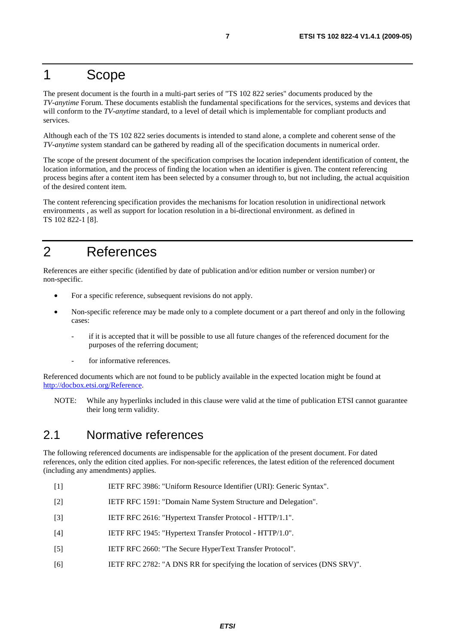### 1 Scope

The present document is the fourth in a multi-part series of "TS 102 822 series" documents produced by the *TV-anytime* Forum. These documents establish the fundamental specifications for the services, systems and devices that will conform to the *TV-anytime* standard, to a level of detail which is implementable for compliant products and services.

Although each of the TS 102 822 series documents is intended to stand alone, a complete and coherent sense of the *TV-anytime* system standard can be gathered by reading all of the specification documents in numerical order.

The scope of the present document of the specification comprises the location independent identification of content, the location information, and the process of finding the location when an identifier is given. The content referencing process begins after a content item has been selected by a consumer through to, but not including, the actual acquisition of the desired content item.

The content referencing specification provides the mechanisms for location resolution in unidirectional network environments , as well as support for location resolution in a bi-directional environment. as defined in TS 102 822-1 [8].

# 2 References

References are either specific (identified by date of publication and/or edition number or version number) or non-specific.

- For a specific reference, subsequent revisions do not apply.
- Non-specific reference may be made only to a complete document or a part thereof and only in the following cases:
	- if it is accepted that it will be possible to use all future changes of the referenced document for the purposes of the referring document;
	- for informative references.

Referenced documents which are not found to be publicly available in the expected location might be found at [http://docbox.etsi.org/Reference.](http://docbox.etsi.org/Reference)

NOTE: While any hyperlinks included in this clause were valid at the time of publication ETSI cannot guarantee their long term validity.

### 2.1 Normative references

The following referenced documents are indispensable for the application of the present document. For dated references, only the edition cited applies. For non-specific references, the latest edition of the referenced document (including any amendments) applies.

- [1] IETF RFC 3986: "Uniform Resource Identifier (URI): Generic Syntax".
- [2] IETF RFC 1591: "Domain Name System Structure and Delegation".
- [3] IETF RFC 2616: "Hypertext Transfer Protocol HTTP/1.1".
- [4] IETF RFC 1945: "Hypertext Transfer Protocol HTTP/1.0".
- [5] IETF RFC 2660: "The Secure HyperText Transfer Protocol".
- [6] IETF RFC 2782: "A DNS RR for specifying the location of services (DNS SRV)".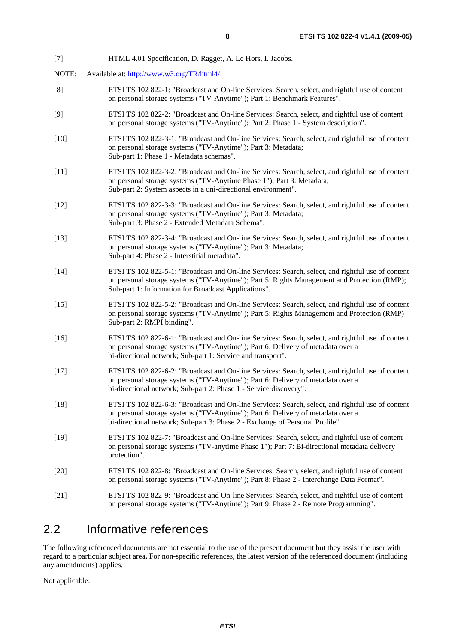- [7] HTML 4.01 Specification, D. Ragget, A. Le Hors, I. Jacobs.
- NOTE: Available at:<http://www.w3.org/TR/html4/>.
- [8] ETSI TS 102 822-1: "Broadcast and On-line Services: Search, select, and rightful use of content on personal storage systems ("TV-Anytime"); Part 1: Benchmark Features".
- [9] ETSI TS 102 822-2: "Broadcast and On-line Services: Search, select, and rightful use of content on personal storage systems ("TV-Anytime"); Part 2: Phase 1 - System description".
- [10] ETSI TS 102 822-3-1: "Broadcast and On-line Services: Search, select, and rightful use of content on personal storage systems ("TV-Anytime"); Part 3: Metadata; Sub-part 1: Phase 1 - Metadata schemas".
- [11] ETSI TS 102 822-3-2: "Broadcast and On-line Services: Search, select, and rightful use of content on personal storage systems ("TV-Anytime Phase 1"); Part 3: Metadata; Sub-part 2: System aspects in a uni-directional environment".
- [12] ETSI TS 102 822-3-3: "Broadcast and On-line Services: Search, select, and rightful use of content on personal storage systems ("TV-Anytime"); Part 3: Metadata; Sub-part 3: Phase 2 - Extended Metadata Schema".
- [13] ETSI TS 102 822-3-4: "Broadcast and On-line Services: Search, select, and rightful use of content on personal storage systems ("TV-Anytime"); Part 3: Metadata; Sub-part 4: Phase 2 - Interstitial metadata".
- [14] ETSI TS 102 822-5-1: "Broadcast and On-line Services: Search, select, and rightful use of content on personal storage systems ("TV-Anytime"); Part 5: Rights Management and Protection (RMP); Sub-part 1: Information for Broadcast Applications".
- [15] ETSI TS 102 822-5-2: "Broadcast and On-line Services: Search, select, and rightful use of content on personal storage systems ("TV-Anytime"); Part 5: Rights Management and Protection (RMP) Sub-part 2: RMPI binding".
- [16] ETSI TS 102 822-6-1: "Broadcast and On-line Services: Search, select, and rightful use of content on personal storage systems ("TV-Anytime"); Part 6: Delivery of metadata over a bi-directional network; Sub-part 1: Service and transport".
- [17] ETSI TS 102 822-6-2: "Broadcast and On-line Services: Search, select, and rightful use of content on personal storage systems ("TV-Anytime"); Part 6: Delivery of metadata over a bi-directional network; Sub-part 2: Phase 1 - Service discovery".
- [18] ETSI TS 102 822-6-3: "Broadcast and On-line Services: Search, select, and rightful use of content on personal storage systems ("TV-Anytime"); Part 6: Delivery of metadata over a bi-directional network; Sub-part 3: Phase 2 - Exchange of Personal Profile".
- [19] ETSI TS 102 822-7: "Broadcast and On-line Services: Search, select, and rightful use of content on personal storage systems ("TV-anytime Phase 1"); Part 7: Bi-directional metadata delivery protection".
- [20] ETSI TS 102 822-8: "Broadcast and On-line Services: Search, select, and rightful use of content on personal storage systems ("TV-Anytime"); Part 8: Phase 2 - Interchange Data Format".
- [21] ETSI TS 102 822-9: "Broadcast and On-line Services: Search, select, and rightful use of content on personal storage systems ("TV-Anytime"); Part 9: Phase 2 - Remote Programming".

### 2.2 Informative references

The following referenced documents are not essential to the use of the present document but they assist the user with regard to a particular subject area**.** For non-specific references, the latest version of the referenced document (including any amendments) applies.

Not applicable.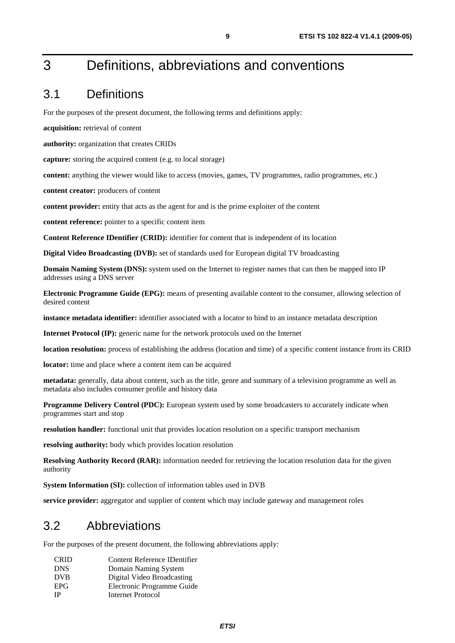# 3 Definitions, abbreviations and conventions

### 3.1 Definitions

For the purposes of the present document, the following terms and definitions apply:

**acquisition:** retrieval of content

**authority:** organization that creates CRIDs

**capture:** storing the acquired content (e.g. to local storage)

**content:** anything the viewer would like to access (movies, games, TV programmes, radio programmes, etc.)

**content creator:** producers of content

**content provider:** entity that acts as the agent for and is the prime exploiter of the content

**content reference:** pointer to a specific content item

**Content Reference IDentifier (CRID):** identifier for content that is independent of its location

**Digital Video Broadcasting (DVB):** set of standards used for European digital TV broadcasting

**Domain Naming System (DNS):** system used on the Internet to register names that can then be mapped into IP addresses using a DNS server

**Electronic Programme Guide (EPG):** means of presenting available content to the consumer, allowing selection of desired content

**instance metadata identifier:** identifier associated with a locator to bind to an instance metadata description

**Internet Protocol (IP):** generic name for the network protocols used on the Internet

**location resolution:** process of establishing the address (location and time) of a specific content instance from its CRID

**locator:** time and place where a content item can be acquired

**metadata:** generally, data about content, such as the title, genre and summary of a television programme as well as metadata also includes consumer profile and history data

**Programme Delivery Control (PDC):** European system used by some broadcasters to accurately indicate when programmes start and stop

**resolution handler:** functional unit that provides location resolution on a specific transport mechanism

**resolving authority:** body which provides location resolution

**Resolving Authority Record (RAR):** information needed for retrieving the location resolution data for the given authority

**System Information (SI):** collection of information tables used in DVB

**service provider:** aggregator and supplier of content which may include gateway and management roles

### 3.2 Abbreviations

For the purposes of the present document, the following abbreviations apply:

| <b>CRID</b> | Content Reference IDentifier |
|-------------|------------------------------|
| <b>DNS</b>  | Domain Naming System         |
| <b>DVB</b>  | Digital Video Broadcasting   |
| <b>EPG</b>  | Electronic Programme Guide   |
| <b>IP</b>   | Internet Protocol            |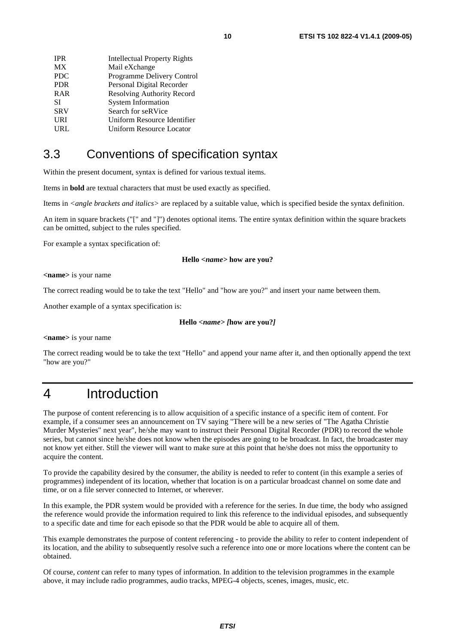| <b>IPR</b> | <b>Intellectual Property Rights</b> |
|------------|-------------------------------------|
| <b>MX</b>  | Mail eXchange                       |
| <b>PDC</b> | Programme Delivery Control          |
| <b>PDR</b> | Personal Digital Recorder           |
| <b>RAR</b> | Resolving Authority Record          |
| SІ         | <b>System Information</b>           |
| <b>SRV</b> | Search for seRVice                  |
| URI        | Uniform Resource Identifier         |
| URL        | <b>Uniform Resource Locator</b>     |
|            |                                     |

### 3.3 Conventions of specification syntax

Within the present document, syntax is defined for various textual items.

Items in **bold** are textual characters that must be used exactly as specified.

Items in *<angle brackets and italics>* are replaced by a suitable value, which is specified beside the syntax definition.

An item in square brackets ("[" and "]") denotes optional items. The entire syntax definition within the square brackets can be omitted, subject to the rules specified.

For example a syntax specification of:

#### **Hello** *<name>* **how are you?**

**<name>** is your name

The correct reading would be to take the text "Hello" and "how are you?" and insert your name between them.

Another example of a syntax specification is:

#### **Hello** *<name> [***how are you?***]*

**<name>** is your name

The correct reading would be to take the text "Hello" and append your name after it, and then optionally append the text "how are you?"

# 4 Introduction

The purpose of content referencing is to allow acquisition of a specific instance of a specific item of content. For example, if a consumer sees an announcement on TV saying "There will be a new series of "The Agatha Christie Murder Mysteries" next year", he/she may want to instruct their Personal Digital Recorder (PDR) to record the whole series, but cannot since he/she does not know when the episodes are going to be broadcast. In fact, the broadcaster may not know yet either. Still the viewer will want to make sure at this point that he/she does not miss the opportunity to acquire the content.

To provide the capability desired by the consumer, the ability is needed to refer to content (in this example a series of programmes) independent of its location, whether that location is on a particular broadcast channel on some date and time, or on a file server connected to Internet, or wherever.

In this example, the PDR system would be provided with a reference for the series. In due time, the body who assigned the reference would provide the information required to link this reference to the individual episodes, and subsequently to a specific date and time for each episode so that the PDR would be able to acquire all of them.

This example demonstrates the purpose of content referencing - to provide the ability to refer to content independent of its location, and the ability to subsequently resolve such a reference into one or more locations where the content can be obtained.

Of course, *content* can refer to many types of information. In addition to the television programmes in the example above, it may include radio programmes, audio tracks, MPEG-4 objects, scenes, images, music, etc.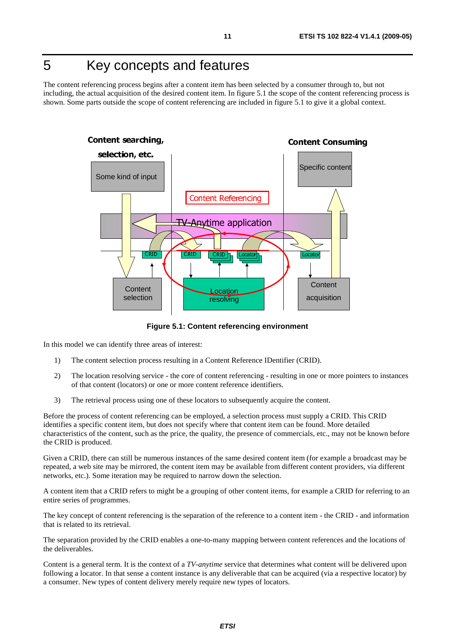# 5 Key concepts and features

The content referencing process begins after a content item has been selected by a consumer through to, but not including, the actual acquisition of the desired content item. In figure 5.1 the scope of the content referencing process is shown. Some parts outside the scope of content referencing are included in figure 5.1 to give it a global context.



**Figure 5.1: Content referencing environment** 

In this model we can identify three areas of interest:

- 1) The content selection process resulting in a Content Reference IDentifier (CRID).
- 2) The location resolving service the core of content referencing resulting in one or more pointers to instances of that content (locators) or one or more content reference identifiers.
- 3) The retrieval process using one of these locators to subsequently acquire the content.

Before the process of content referencing can be employed, a selection process must supply a CRID. This CRID identifies a specific content item, but does not specify where that content item can be found. More detailed characteristics of the content, such as the price, the quality, the presence of commercials, etc., may not be known before the CRID is produced.

Given a CRID, there can still be numerous instances of the same desired content item (for example a broadcast may be repeated, a web site may be mirrored, the content item may be available from different content providers, via different networks, etc.). Some iteration may be required to narrow down the selection.

A content item that a CRID refers to might be a grouping of other content items, for example a CRID for referring to an entire series of programmes.

The key concept of content referencing is the separation of the reference to a content item - the CRID - and information that is related to its retrieval.

The separation provided by the CRID enables a one-to-many mapping between content references and the locations of the deliverables.

Content is a general term. It is the context of a *TV-anytime* service that determines what content will be delivered upon following a locator. In that sense a content instance is any deliverable that can be acquired (via a respective locator) by a consumer. New types of content delivery merely require new types of locators.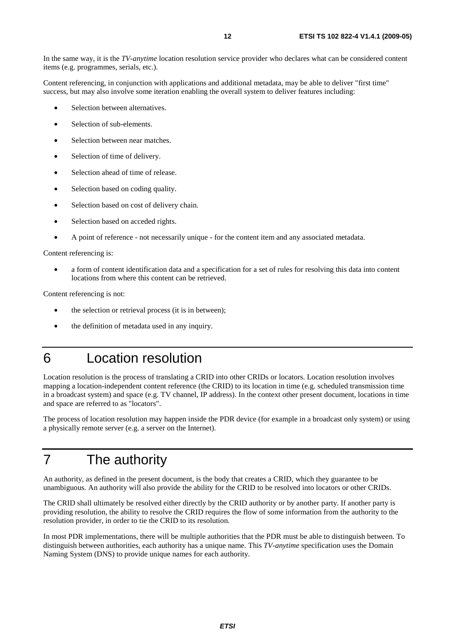In the same way, it is the *TV-anytime* location resolution service provider who declares what can be considered content items (e.g. programmes, serials, etc.).

Content referencing, in conjunction with applications and additional metadata, may be able to deliver "first time" success, but may also involve some iteration enabling the overall system to deliver features including:

- Selection between alternatives.
- Selection of sub-elements.
- Selection between near matches.
- Selection of time of delivery.
- Selection ahead of time of release.
- Selection based on coding quality.
- Selection based on cost of delivery chain.
- Selection based on acceded rights.
- A point of reference not necessarily unique for the content item and any associated metadata.

Content referencing is:

• a form of content identification data and a specification for a set of rules for resolving this data into content locations from where this content can be retrieved.

Content referencing is not:

- the selection or retrieval process (it is in between);
- the definition of metadata used in any inquiry.

# 6 Location resolution

Location resolution is the process of translating a CRID into other CRIDs or locators. Location resolution involves mapping a location-independent content reference (the CRID) to its location in time (e.g. scheduled transmission time in a broadcast system) and space (e.g. TV channel, IP address). In the context other present document, locations in time and space are referred to as "locators".

The process of location resolution may happen inside the PDR device (for example in a broadcast only system) or using a physically remote server (e.g. a server on the Internet).

# 7 The authority

An authority, as defined in the present document, is the body that creates a CRID, which they guarantee to be unambiguous. An authority will also provide the ability for the CRID to be resolved into locators or other CRIDs.

The CRID shall ultimately be resolved either directly by the CRID authority or by another party. If another party is providing resolution, the ability to resolve the CRID requires the flow of some information from the authority to the resolution provider, in order to tie the CRID to its resolution.

In most PDR implementations, there will be multiple authorities that the PDR must be able to distinguish between. To distinguish between authorities, each authority has a unique name. This *TV-anytime* specification uses the Domain Naming System (DNS) to provide unique names for each authority.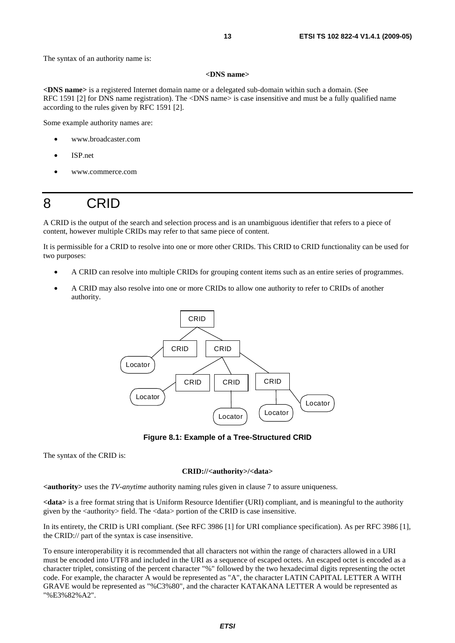#### **<DNS name>**

**<DNS name>** is a registered Internet domain name or a delegated sub-domain within such a domain. (See RFC 1591 [2] for DNS name registration). The <DNS name> is case insensitive and must be a fully qualified name according to the rules given by RFC 1591 [2].

Some example authority names are:

- www.broadcaster.com
- ISP.net
- www.commerce.com

# 8 CRID

A CRID is the output of the search and selection process and is an unambiguous identifier that refers to a piece of content, however multiple CRIDs may refer to that same piece of content.

It is permissible for a CRID to resolve into one or more other CRIDs. This CRID to CRID functionality can be used for two purposes:

- A CRID can resolve into multiple CRIDs for grouping content items such as an entire series of programmes.
- A CRID may also resolve into one or more CRIDs to allow one authority to refer to CRIDs of another authority.



**Figure 8.1: Example of a Tree-Structured CRID** 

The syntax of the CRID is:

#### **CRID://<authority>/<data>**

**<authority>** uses the *TV-anytime* authority naming rules given in clause 7 to assure uniqueness.

**<data>** is a free format string that is Uniform Resource Identifier (URI) compliant, and is meaningful to the authority given by the <authority> field. The <data> portion of the CRID is case insensitive.

In its entirety, the CRID is URI compliant. (See RFC 3986 [1] for URI compliance specification). As per RFC 3986 [1], the CRID:// part of the syntax is case insensitive.

To ensure interoperability it is recommended that all characters not within the range of characters allowed in a URI must be encoded into UTF8 and included in the URI as a sequence of escaped octets. An escaped octet is encoded as a character triplet, consisting of the percent character "%" followed by the two hexadecimal digits representing the octet code. For example, the character A would be represented as "A", the character LATIN CAPITAL LETTER A WITH GRAVE would be represented as "%C3%80", and the character KATAKANA LETTER A would be represented as "%E3%82%A2".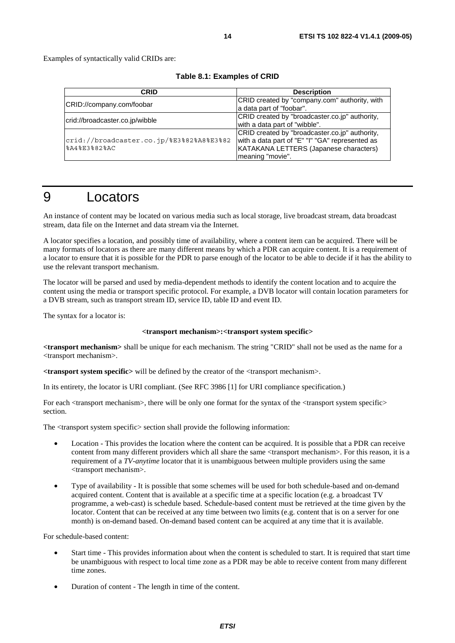Examples of syntactically valid CRIDs are:

| CRID                                                     | <b>Description</b>                                                                                                                                              |
|----------------------------------------------------------|-----------------------------------------------------------------------------------------------------------------------------------------------------------------|
| CRID://company.com/foobar                                | CRID created by "company.com" authority, with<br>a data part of "foobar".                                                                                       |
| crid://broadcaster.co.jp/wibble                          | CRID created by "broadcaster.co.jp" authority,<br>with a data part of "wibble".                                                                                 |
| crid://broadcaster.co.jp/%E3%82%A8%E3%82<br>%A4%E3%82%AC | CRID created by "broadcaster.co.jp" authority,<br>with a data part of "E" "I" "GA" represented as<br>KATAKANA LETTERS (Japanese characters)<br>meaning "movie". |

# 9 Locators

An instance of content may be located on various media such as local storage, live broadcast stream, data broadcast stream, data file on the Internet and data stream via the Internet.

A locator specifies a location, and possibly time of availability, where a content item can be acquired. There will be many formats of locators as there are many different means by which a PDR can acquire content. It is a requirement of a locator to ensure that it is possible for the PDR to parse enough of the locator to be able to decide if it has the ability to use the relevant transport mechanism.

The locator will be parsed and used by media-dependent methods to identify the content location and to acquire the content using the media or transport specific protocol. For example, a DVB locator will contain location parameters for a DVB stream, such as transport stream ID, service ID, table ID and event ID.

The syntax for a locator is:

#### **<transport mechanism>:<transport system specific>**

**<transport mechanism>** shall be unique for each mechanism. The string "CRID" shall not be used as the name for a <transport mechanism>.

**<transport system specific>** will be defined by the creator of the <transport mechanism>.

In its entirety, the locator is URI compliant. (See RFC 3986 [1] for URI compliance specification.)

For each  $\langle$ transport mechanism $\rangle$ , there will be only one format for the syntax of the  $\langle$ transport system specific $\rangle$ section.

The <transport system specific> section shall provide the following information:

- Location This provides the location where the content can be acquired. It is possible that a PDR can receive content from many different providers which all share the same <transport mechanism>. For this reason, it is a requirement of a *TV-anytime* locator that it is unambiguous between multiple providers using the same <transport mechanism>.
- Type of availability It is possible that some schemes will be used for both schedule-based and on-demand acquired content. Content that is available at a specific time at a specific location (e.g. a broadcast TV programme, a web-cast) is schedule based. Schedule-based content must be retrieved at the time given by the locator. Content that can be received at any time between two limits (e.g. content that is on a server for one month) is on-demand based. On-demand based content can be acquired at any time that it is available.

For schedule-based content:

- Start time This provides information about when the content is scheduled to start. It is required that start time be unambiguous with respect to local time zone as a PDR may be able to receive content from many different time zones.
- Duration of content The length in time of the content.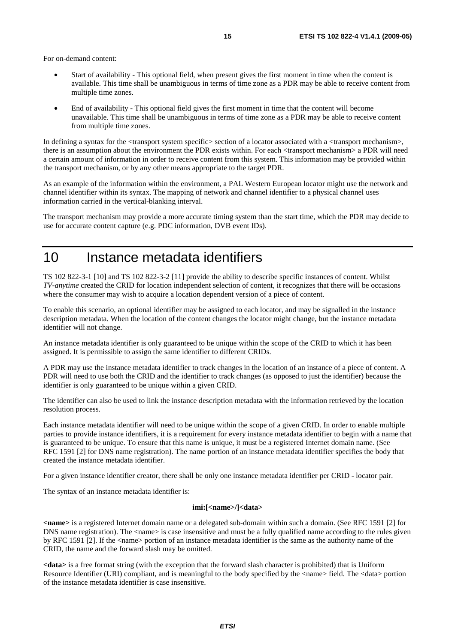For on-demand content:

- Start of availability This optional field, when present gives the first moment in time when the content is available. This time shall be unambiguous in terms of time zone as a PDR may be able to receive content from multiple time zones.
- End of availability This optional field gives the first moment in time that the content will become unavailable. This time shall be unambiguous in terms of time zone as a PDR may be able to receive content from multiple time zones.

In defining a syntax for the  $\langle$ transport system specific $\rangle$  section of a locator associated with a  $\langle$ transport mechanism $\rangle$ , there is an assumption about the environment the PDR exists within. For each <transport mechanism> a PDR will need a certain amount of information in order to receive content from this system. This information may be provided within the transport mechanism, or by any other means appropriate to the target PDR.

As an example of the information within the environment, a PAL Western European locator might use the network and channel identifier within its syntax. The mapping of network and channel identifier to a physical channel uses information carried in the vertical-blanking interval.

The transport mechanism may provide a more accurate timing system than the start time, which the PDR may decide to use for accurate content capture (e.g. PDC information, DVB event IDs).

### 10 Instance metadata identifiers

TS 102 822-3-1 [10] and TS 102 822-3-2 [11] provide the ability to describe specific instances of content. Whilst *TV-anytime* created the CRID for location independent selection of content, it recognizes that there will be occasions where the consumer may wish to acquire a location dependent version of a piece of content.

To enable this scenario, an optional identifier may be assigned to each locator, and may be signalled in the instance description metadata. When the location of the content changes the locator might change, but the instance metadata identifier will not change.

An instance metadata identifier is only guaranteed to be unique within the scope of the CRID to which it has been assigned. It is permissible to assign the same identifier to different CRIDs.

A PDR may use the instance metadata identifier to track changes in the location of an instance of a piece of content. A PDR will need to use both the CRID and the identifier to track changes (as opposed to just the identifier) because the identifier is only guaranteed to be unique within a given CRID.

The identifier can also be used to link the instance description metadata with the information retrieved by the location resolution process.

Each instance metadata identifier will need to be unique within the scope of a given CRID. In order to enable multiple parties to provide instance identifiers, it is a requirement for every instance metadata identifier to begin with a name that is guaranteed to be unique. To ensure that this name is unique, it must be a registered Internet domain name. (See RFC 1591 [2] for DNS name registration). The name portion of an instance metadata identifier specifies the body that created the instance metadata identifier.

For a given instance identifier creator, there shall be only one instance metadata identifier per CRID - locator pair.

The syntax of an instance metadata identifier is:

#### **imi:[<name>/]<data>**

**<name>** is a registered Internet domain name or a delegated sub-domain within such a domain. (See RFC 1591 [2] for DNS name registration). The  $\alpha$  -name is case insensitive and must be a fully qualified name according to the rules given by RFC 1591 [2]. If the <name> portion of an instance metadata identifier is the same as the authority name of the CRID, the name and the forward slash may be omitted.

**<data>** is a free format string (with the exception that the forward slash character is prohibited) that is Uniform Resource Identifier (URI) compliant, and is meaningful to the body specified by the <name> field. The <data> portion of the instance metadata identifier is case insensitive.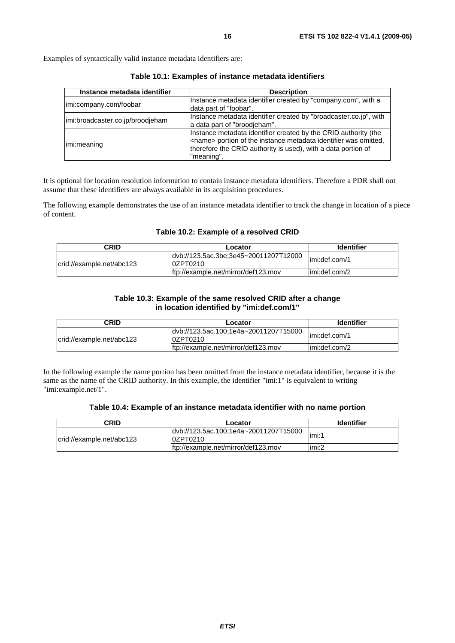Examples of syntactically valid instance metadata identifiers are:

| Instance metadata identifier     | <b>Description</b>                                                                                                                                                                                                         |
|----------------------------------|----------------------------------------------------------------------------------------------------------------------------------------------------------------------------------------------------------------------------|
| limi:company.com/foobar          | Instance metadata identifier created by "company.com", with a<br>data part of "foobar".                                                                                                                                    |
| imi:broadcaster.co.jp/broodjeham | Instance metadata identifier created by "broadcaster.co.jp", with<br>a data part of "broodieham".                                                                                                                          |
| limi:meaning                     | Instance metadata identifier created by the CRID authority (the<br><name> portion of the instance metadata identifier was omitted,<br/>therefore the CRID authority is used), with a data portion of<br/>"meaning".</name> |

**Table 10.1: Examples of instance metadata identifiers** 

It is optional for location resolution information to contain instance metadata identifiers. Therefore a PDR shall not assume that these identifiers are always available in its acquisition procedures.

The following example demonstrates the use of an instance metadata identifier to track the change in location of a piece of content.

#### **Table 10.2: Example of a resolved CRID**

| CRID                      | Locator                                            | <b>Identifier</b> |
|---------------------------|----------------------------------------------------|-------------------|
| crid://example.net/abc123 | dvb://123.5ac.3be;3e45~20011207T12000<br>l0ZPT0210 | limi:def.com/1    |
|                           | lftp://example.net/mirror/def123.mov               | limi:def.com/2    |

#### **Table 10.3: Example of the same resolved CRID after a change in location identified by "imi:def.com/1"**

| CRID                      | Locator                                            | <b>Identifier</b> |
|---------------------------|----------------------------------------------------|-------------------|
| crid://example.net/abc123 | ldvb://123.5ac.100;1e4a~20011207T15000<br>0ZPT0210 | limi:def.com/1    |
|                           | lftp://example.net/mirror/def123.mov               | limi:def.com/2    |

In the following example the name portion has been omitted from the instance metadata identifier, because it is the same as the name of the CRID authority. In this example, the identifier "imi:1" is equivalent to writing "imi:example.net/1".

#### **Table 10.4: Example of an instance metadata identifier with no name portion**

| CRID                      | Locator                                            | <b>Identifier</b> |
|---------------------------|----------------------------------------------------|-------------------|
| crid://example.net/abc123 | ldvb://123.5ac.100;1e4a~20011207T15000<br>0ZPT0210 | limi:1            |
|                           | ftp://example.net/mirror/def123.mov                | limi:2            |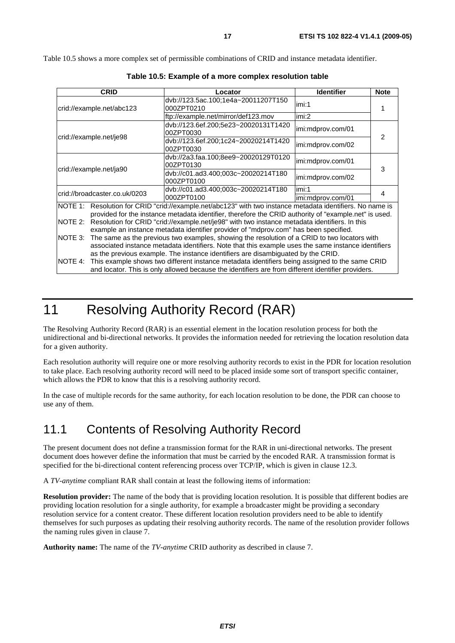Table 10.5 shows a more complex set of permissible combinations of CRID and instance metadata identifier.

|                                                                                                                                                                                                                     | <b>CRID</b>                                                                                                                                                                                                                                                                             | Locator                                           | <b>Identifier</b> | <b>Note</b> |
|---------------------------------------------------------------------------------------------------------------------------------------------------------------------------------------------------------------------|-----------------------------------------------------------------------------------------------------------------------------------------------------------------------------------------------------------------------------------------------------------------------------------------|---------------------------------------------------|-------------------|-------------|
| crid://example.net/abc123                                                                                                                                                                                           |                                                                                                                                                                                                                                                                                         | dvb://123.5ac.100;1e4a~20011207T150<br>000ZPT0210 | imi:1             |             |
|                                                                                                                                                                                                                     |                                                                                                                                                                                                                                                                                         | ftp://example.net/mirror/def123.mov               | imi:2             |             |
| crid://example.net/je98                                                                                                                                                                                             |                                                                                                                                                                                                                                                                                         | dvb://123.6ef.200;5e23~20020131T1420<br>00ZPT0030 | imi:mdprov.com/01 | 2           |
|                                                                                                                                                                                                                     |                                                                                                                                                                                                                                                                                         | dvb://123.6ef.200;1c24~20020214T1420<br>00ZPT0030 | imi:mdprov.com/02 |             |
| crid://example.net/ja90                                                                                                                                                                                             |                                                                                                                                                                                                                                                                                         | dvb://2a3.faa.100;8ee9~20020129T0120<br>00ZPT0130 | imi:mdprov.com/01 | 3           |
|                                                                                                                                                                                                                     |                                                                                                                                                                                                                                                                                         | dvb://c01.ad3.400;003c~20020214T180<br>000ZPT0100 | imi:mdprov.com/02 |             |
| crid://broadcaster.co.uk/0203                                                                                                                                                                                       |                                                                                                                                                                                                                                                                                         | dvb://c01.ad3.400;003c~20020214T180               | imi:1             | 4           |
|                                                                                                                                                                                                                     |                                                                                                                                                                                                                                                                                         | 000ZPT0100                                        | imi:mdprov.com/01 |             |
| NOTE 1: Resolution for CRID "crid://example.net/abc123" with two instance metadata identifiers. No name is<br>provided for the instance metadata identifier, therefore the CRID authority of "example.net" is used. |                                                                                                                                                                                                                                                                                         |                                                   |                   |             |
| NOTE 2:                                                                                                                                                                                                             | Resolution for CRID "crid://example.net/je98" with two instance metadata identifiers. In this                                                                                                                                                                                           |                                                   |                   |             |
|                                                                                                                                                                                                                     | example an instance metadata identifier provider of "mdprov.com" has been specified.                                                                                                                                                                                                    |                                                   |                   |             |
| NOTE 3:                                                                                                                                                                                                             | The same as the previous two examples, showing the resolution of a CRID to two locators with<br>associated instance metadata identifiers. Note that this example uses the same instance identifiers<br>as the previous example. The instance identifiers are disambiguated by the CRID. |                                                   |                   |             |
| NOTE 4:                                                                                                                                                                                                             | This example shows two different instance metadata identifiers being assigned to the same CRID<br>and locator. This is only allowed because the identifiers are from different identifier providers.                                                                                    |                                                   |                   |             |

**Table 10.5: Example of a more complex resolution table** 

# 11 Resolving Authority Record (RAR)

The Resolving Authority Record (RAR) is an essential element in the location resolution process for both the unidirectional and bi-directional networks. It provides the information needed for retrieving the location resolution data for a given authority.

Each resolution authority will require one or more resolving authority records to exist in the PDR for location resolution to take place. Each resolving authority record will need to be placed inside some sort of transport specific container, which allows the PDR to know that this is a resolving authority record.

In the case of multiple records for the same authority, for each location resolution to be done, the PDR can choose to use any of them.

### 11.1 Contents of Resolving Authority Record

The present document does not define a transmission format for the RAR in uni-directional networks. The present document does however define the information that must be carried by the encoded RAR. A transmission format is specified for the bi-directional content referencing process over TCP/IP, which is given in clause 12.3.

A *TV-anytime* compliant RAR shall contain at least the following items of information:

**Resolution provider:** The name of the body that is providing location resolution. It is possible that different bodies are providing location resolution for a single authority, for example a broadcaster might be providing a secondary resolution service for a content creator. These different location resolution providers need to be able to identify themselves for such purposes as updating their resolving authority records. The name of the resolution provider follows the naming rules given in clause 7.

**Authority name:** The name of the *TV-anytime* CRID authority as described in clause 7.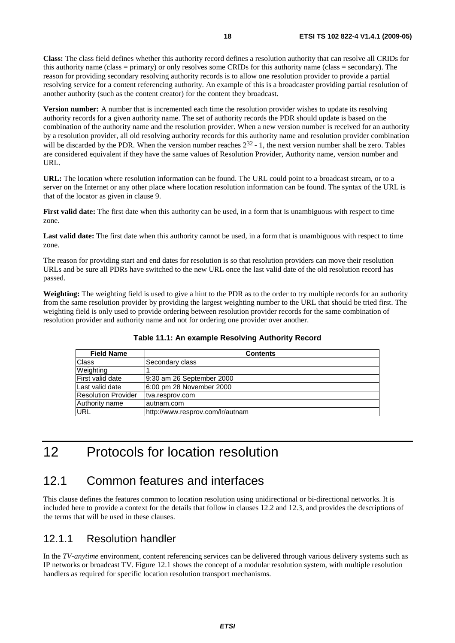**Class:** The class field defines whether this authority record defines a resolution authority that can resolve all CRIDs for this authority name (class = primary) or only resolves some CRIDs for this authority name (class = secondary). The reason for providing secondary resolving authority records is to allow one resolution provider to provide a partial resolving service for a content referencing authority. An example of this is a broadcaster providing partial resolution of another authority (such as the content creator) for the content they broadcast.

**Version number:** A number that is incremented each time the resolution provider wishes to update its resolving authority records for a given authority name. The set of authority records the PDR should update is based on the combination of the authority name and the resolution provider. When a new version number is received for an authority by a resolution provider, all old resolving authority records for this authority name and resolution provider combination will be discarded by the PDR. When the version number reaches  $2^{32}$  - 1, the next version number shall be zero. Tables are considered equivalent if they have the same values of Resolution Provider, Authority name, version number and URL.

**URL:** The location where resolution information can be found. The URL could point to a broadcast stream, or to a server on the Internet or any other place where location resolution information can be found. The syntax of the URL is that of the locator as given in clause 9.

**First valid date:** The first date when this authority can be used, in a form that is unambiguous with respect to time zone.

Last valid date: The first date when this authority cannot be used, in a form that is unambiguous with respect to time zone.

The reason for providing start and end dates for resolution is so that resolution providers can move their resolution URLs and be sure all PDRs have switched to the new URL once the last valid date of the old resolution record has passed.

**Weighting:** The weighting field is used to give a hint to the PDR as to the order to try multiple records for an authority from the same resolution provider by providing the largest weighting number to the URL that should be tried first. The weighting field is only used to provide ordering between resolution provider records for the same combination of resolution provider and authority name and not for ordering one provider over another.

| <b>Field Name</b>          | <b>Contents</b>                  |  |
|----------------------------|----------------------------------|--|
| Class                      | Secondary class                  |  |
| Weighting                  |                                  |  |
| lFirst valid date          | 9:30 am 26 September 2000        |  |
| Last valid date            | 6:00 pm 28 November 2000         |  |
| <b>Resolution Provider</b> | tva.resprov.com                  |  |
| Authority name             | lautnam.com                      |  |
| <b>URL</b>                 | http://www.resprov.com/lr/autnam |  |

**Table 11.1: An example Resolving Authority Record** 

# 12 Protocols for location resolution

### 12.1 Common features and interfaces

This clause defines the features common to location resolution using unidirectional or bi-directional networks. It is included here to provide a context for the details that follow in clauses 12.2 and 12.3, and provides the descriptions of the terms that will be used in these clauses.

### 12.1.1 Resolution handler

In the *TV-anytime* environment, content referencing services can be delivered through various delivery systems such as IP networks or broadcast TV. Figure 12.1 shows the concept of a modular resolution system, with multiple resolution handlers as required for specific location resolution transport mechanisms.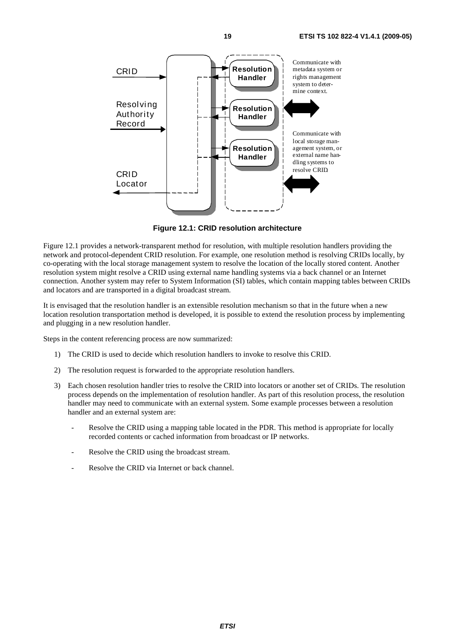

**Figure 12.1: CRID resolution architecture** 

Figure 12.1 provides a network-transparent method for resolution, with multiple resolution handlers providing the network and protocol-dependent CRID resolution. For example, one resolution method is resolving CRIDs locally, by co-operating with the local storage management system to resolve the location of the locally stored content. Another resolution system might resolve a CRID using external name handling systems via a back channel or an Internet connection. Another system may refer to System Information (SI) tables, which contain mapping tables between CRIDs and locators and are transported in a digital broadcast stream.

It is envisaged that the resolution handler is an extensible resolution mechanism so that in the future when a new location resolution transportation method is developed, it is possible to extend the resolution process by implementing and plugging in a new resolution handler.

Steps in the content referencing process are now summarized:

- 1) The CRID is used to decide which resolution handlers to invoke to resolve this CRID.
- 2) The resolution request is forwarded to the appropriate resolution handlers.
- 3) Each chosen resolution handler tries to resolve the CRID into locators or another set of CRIDs. The resolution process depends on the implementation of resolution handler. As part of this resolution process, the resolution handler may need to communicate with an external system. Some example processes between a resolution handler and an external system are:
	- Resolve the CRID using a mapping table located in the PDR. This method is appropriate for locally recorded contents or cached information from broadcast or IP networks.
	- Resolve the CRID using the broadcast stream.
	- Resolve the CRID via Internet or back channel.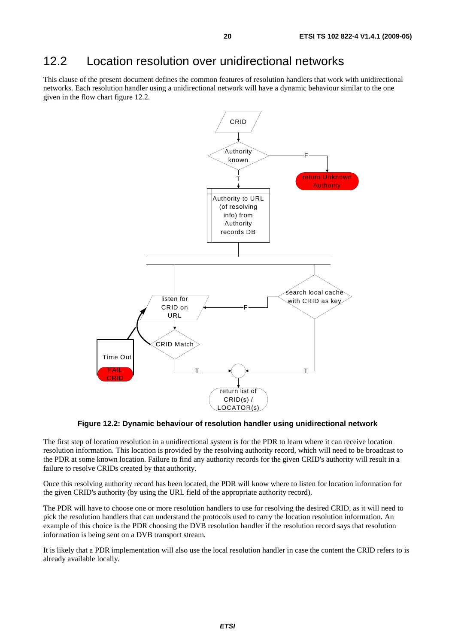### 12.2 Location resolution over unidirectional networks

This clause of the present document defines the common features of resolution handlers that work with unidirectional networks. Each resolution handler using a unidirectional network will have a dynamic behaviour similar to the one given in the flow chart figure 12.2.



**Figure 12.2: Dynamic behaviour of resolution handler using unidirectional network** 

The first step of location resolution in a unidirectional system is for the PDR to learn where it can receive location resolution information. This location is provided by the resolving authority record, which will need to be broadcast to the PDR at some known location. Failure to find any authority records for the given CRID's authority will result in a failure to resolve CRIDs created by that authority.

Once this resolving authority record has been located, the PDR will know where to listen for location information for the given CRID's authority (by using the URL field of the appropriate authority record).

The PDR will have to choose one or more resolution handlers to use for resolving the desired CRID, as it will need to pick the resolution handlers that can understand the protocols used to carry the location resolution information. An example of this choice is the PDR choosing the DVB resolution handler if the resolution record says that resolution information is being sent on a DVB transport stream.

It is likely that a PDR implementation will also use the local resolution handler in case the content the CRID refers to is already available locally.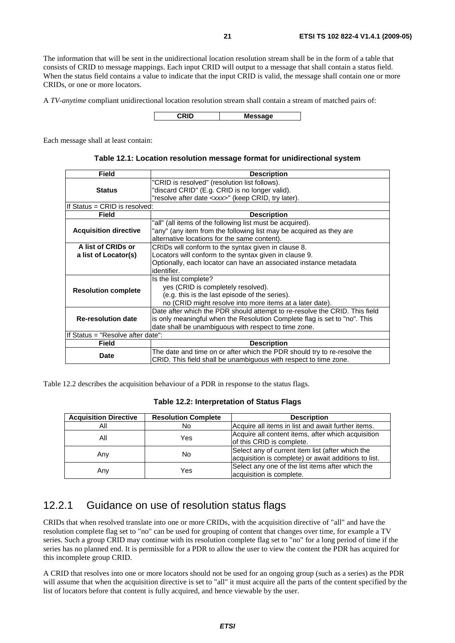The information that will be sent in the unidirectional location resolution stream shall be in the form of a table that consists of CRID to message mappings. Each input CRID will output to a message that shall contain a status field. When the status field contains a value to indicate that the input CRID is valid, the message shall contain one or more CRIDs, or one or more locators.

A *TV-anytime* compliant unidirectional location resolution stream shall contain a stream of matched pairs of:

**CRID Message**

Each message shall at least contain:

| Table 12.1: Location resolution message format for unidirectional system |  |  |
|--------------------------------------------------------------------------|--|--|
|--------------------------------------------------------------------------|--|--|

| <b>Field</b>                      | <b>Description</b>                                                         |
|-----------------------------------|----------------------------------------------------------------------------|
|                                   | "CRID is resolved" (resolution list follows).                              |
| <b>Status</b>                     | "discard CRID" (E.g. CRID is no longer valid).                             |
|                                   | "resolve after date <xxx>" (keep CRID, try later).</xxx>                   |
| If Status = CRID is resolved:     |                                                                            |
| Field                             | <b>Description</b>                                                         |
|                                   | "all" (all items of the following list must be acquired).                  |
| <b>Acquisition directive</b>      | "any" (any item from the following list may be acquired as they are        |
|                                   | alternative locations for the same content).                               |
| A list of CRIDs or                | CRIDs will conform to the syntax given in clause 8.                        |
| a list of Locator(s)              | Locators will conform to the syntax given in clause 9.                     |
|                                   | Optionally, each locator can have an associated instance metadata          |
|                                   | identifier.                                                                |
|                                   | Is the list complete?                                                      |
|                                   | yes (CRID is completely resolved).                                         |
| <b>Resolution complete</b>        | (e.g. this is the last episode of the series).                             |
|                                   | no (CRID might resolve into more items at a later date).                   |
|                                   | Date after which the PDR should attempt to re-resolve the CRID. This field |
| <b>Re-resolution date</b>         | is only meaningful when the Resolution Complete flag is set to "no". This  |
|                                   | date shall be unambiguous with respect to time zone.                       |
| If Status = "Resolve after date": |                                                                            |
| Field                             | <b>Description</b>                                                         |
| Date                              | The date and time on or after which the PDR should try to re-resolve the   |
|                                   | CRID. This field shall be unambiguous with respect to time zone.           |

Table 12.2 describes the acquisition behaviour of a PDR in response to the status flags.

#### **Table 12.2: Interpretation of Status Flags**

| <b>Acquisition Directive</b> | <b>Resolution Complete</b> | <b>Description</b>                                                                                       |
|------------------------------|----------------------------|----------------------------------------------------------------------------------------------------------|
| Αll                          | No                         | Acquire all items in list and await further items.                                                       |
| All                          | Yes                        | Acquire all content items, after which acquisition<br>of this CRID is complete.                          |
| Any                          | No                         | Select any of current item list (after which the<br>acquisition is complete) or await additions to list. |
| Any                          | Yes                        | Select any one of the list items after which the<br>acquisition is complete.                             |

### 12.2.1 Guidance on use of resolution status flags

CRIDs that when resolved translate into one or more CRIDs, with the acquisition directive of "all" and have the resolution complete flag set to "no" can be used for grouping of content that changes over time, for example a TV series. Such a group CRID may continue with its resolution complete flag set to "no" for a long period of time if the series has no planned end. It is permissible for a PDR to allow the user to view the content the PDR has acquired for this incomplete group CRID.

A CRID that resolves into one or more locators should not be used for an ongoing group (such as a series) as the PDR will assume that when the acquisition directive is set to "all" it must acquire all the parts of the content specified by the list of locators before that content is fully acquired, and hence viewable by the user.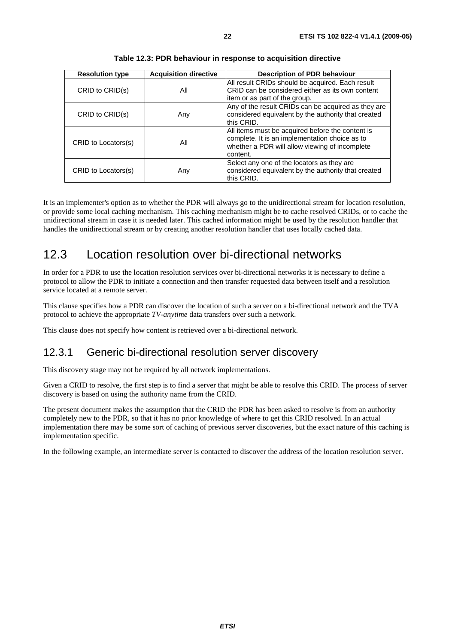| <b>Resolution type</b> | <b>Acquisition directive</b> | <b>Description of PDR behaviour</b>                                                                                                                              |
|------------------------|------------------------------|------------------------------------------------------------------------------------------------------------------------------------------------------------------|
| CRID to CRID(s)        | All                          | All result CRIDs should be acquired. Each result<br>CRID can be considered either as its own content<br>item or as part of the group.                            |
| CRID to CRID(s)        | Any                          | Any of the result CRIDs can be acquired as they are<br>considered equivalent by the authority that created<br>lthis CRID.                                        |
| CRID to Locators(s)    | All                          | All items must be acquired before the content is<br>complete. It is an implementation choice as to<br>whether a PDR will allow viewing of incomplete<br>content. |
| CRID to Locators(s)    | Any                          | Select any one of the locators as they are<br>considered equivalent by the authority that created<br>this CRID.                                                  |

**Table 12.3: PDR behaviour in response to acquisition directive** 

It is an implementer's option as to whether the PDR will always go to the unidirectional stream for location resolution, or provide some local caching mechanism. This caching mechanism might be to cache resolved CRIDs, or to cache the unidirectional stream in case it is needed later. This cached information might be used by the resolution handler that handles the unidirectional stream or by creating another resolution handler that uses locally cached data.

# 12.3 Location resolution over bi-directional networks

In order for a PDR to use the location resolution services over bi-directional networks it is necessary to define a protocol to allow the PDR to initiate a connection and then transfer requested data between itself and a resolution service located at a remote server.

This clause specifies how a PDR can discover the location of such a server on a bi-directional network and the TVA protocol to achieve the appropriate *TV-anytime* data transfers over such a network.

This clause does not specify how content is retrieved over a bi-directional network.

### 12.3.1 Generic bi-directional resolution server discovery

This discovery stage may not be required by all network implementations.

Given a CRID to resolve, the first step is to find a server that might be able to resolve this CRID. The process of server discovery is based on using the authority name from the CRID.

The present document makes the assumption that the CRID the PDR has been asked to resolve is from an authority completely new to the PDR, so that it has no prior knowledge of where to get this CRID resolved. In an actual implementation there may be some sort of caching of previous server discoveries, but the exact nature of this caching is implementation specific.

In the following example, an intermediate server is contacted to discover the address of the location resolution server.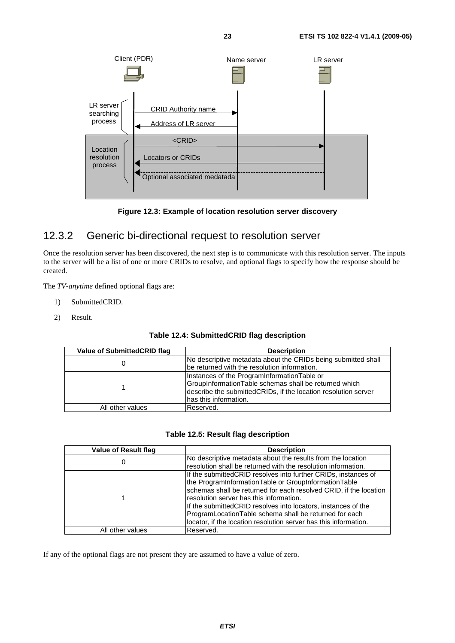



### 12.3.2 Generic bi-directional request to resolution server

Once the resolution server has been discovered, the next step is to communicate with this resolution server. The inputs to the server will be a list of one or more CRIDs to resolve, and optional flags to specify how the response should be created.

The *TV-anytime* defined optional flags are:

- 1) SubmittedCRID.
- 2) Result.

| Value of Submitted CRID flag | <b>Description</b>                                                                                                                                                                              |
|------------------------------|-------------------------------------------------------------------------------------------------------------------------------------------------------------------------------------------------|
|                              | No descriptive metadata about the CRIDs being submitted shall<br>be returned with the resolution information.                                                                                   |
|                              | Instances of the ProgramInformationTable or<br>GroupInformationTable schemas shall be returned which<br>describe the submittedCRIDs, if the location resolution server<br>has this information. |
| All other values             | Reserved.                                                                                                                                                                                       |

#### **Table 12.5: Result flag description**

| Value of Result flag | <b>Description</b>                                                                                                      |
|----------------------|-------------------------------------------------------------------------------------------------------------------------|
| U                    | No descriptive metadata about the results from the location                                                             |
|                      | resolution shall be returned with the resolution information.                                                           |
|                      | If the submitted CRID resolves into further CRIDs, instances of<br>the ProgramInformationTable or GroupInformationTable |
|                      | schemas shall be returned for each resolved CRID, if the location                                                       |
|                      | resolution server has this information.                                                                                 |
|                      | If the submitted CRID resolves into locators, instances of the                                                          |
|                      | ProgramLocationTable schema shall be returned for each                                                                  |
|                      | locator, if the location resolution server has this information.                                                        |
| All other values     | Reserved.                                                                                                               |

If any of the optional flags are not present they are assumed to have a value of zero.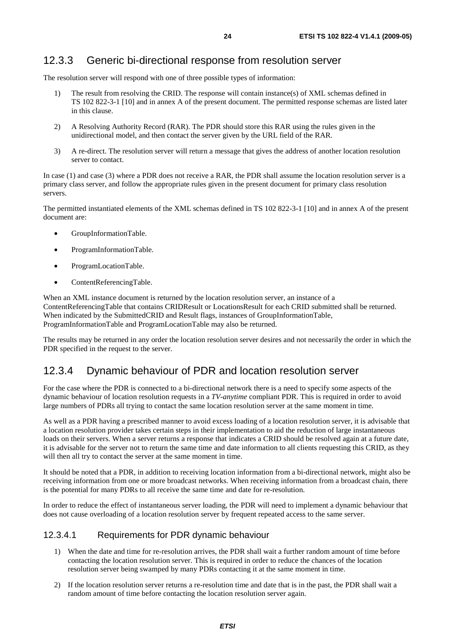### 12.3.3 Generic bi-directional response from resolution server

The resolution server will respond with one of three possible types of information:

- 1) The result from resolving the CRID. The response will contain instance(s) of XML schemas defined in TS 102 822-3-1 [10] and in annex A of the present document. The permitted response schemas are listed later in this clause.
- 2) A Resolving Authority Record (RAR). The PDR should store this RAR using the rules given in the unidirectional model, and then contact the server given by the URL field of the RAR.
- 3) A re-direct. The resolution server will return a message that gives the address of another location resolution server to contact.

In case (1) and case (3) where a PDR does not receive a RAR, the PDR shall assume the location resolution server is a primary class server, and follow the appropriate rules given in the present document for primary class resolution servers.

The permitted instantiated elements of the XML schemas defined in TS 102 822-3-1 [10] and in annex A of the present document are:

- GroupInformationTable.
- ProgramInformationTable.
- ProgramLocationTable.
- ContentReferencingTable.

When an XML instance document is returned by the location resolution server, an instance of a ContentReferencingTable that contains CRIDResult or LocationsResult for each CRID submitted shall be returned. When indicated by the SubmittedCRID and Result flags, instances of GroupInformationTable, ProgramInformationTable and ProgramLocationTable may also be returned.

The results may be returned in any order the location resolution server desires and not necessarily the order in which the PDR specified in the request to the server.

### 12.3.4 Dynamic behaviour of PDR and location resolution server

For the case where the PDR is connected to a bi-directional network there is a need to specify some aspects of the dynamic behaviour of location resolution requests in a *TV-anytime* compliant PDR. This is required in order to avoid large numbers of PDRs all trying to contact the same location resolution server at the same moment in time.

As well as a PDR having a prescribed manner to avoid excess loading of a location resolution server, it is advisable that a location resolution provider takes certain steps in their implementation to aid the reduction of large instantaneous loads on their servers. When a server returns a response that indicates a CRID should be resolved again at a future date, it is advisable for the server not to return the same time and date information to all clients requesting this CRID, as they will then all try to contact the server at the same moment in time.

It should be noted that a PDR, in addition to receiving location information from a bi-directional network, might also be receiving information from one or more broadcast networks. When receiving information from a broadcast chain, there is the potential for many PDRs to all receive the same time and date for re-resolution.

In order to reduce the effect of instantaneous server loading, the PDR will need to implement a dynamic behaviour that does not cause overloading of a location resolution server by frequent repeated access to the same server.

#### 12.3.4.1 Requirements for PDR dynamic behaviour

- 1) When the date and time for re-resolution arrives, the PDR shall wait a further random amount of time before contacting the location resolution server. This is required in order to reduce the chances of the location resolution server being swamped by many PDRs contacting it at the same moment in time.
- 2) If the location resolution server returns a re-resolution time and date that is in the past, the PDR shall wait a random amount of time before contacting the location resolution server again.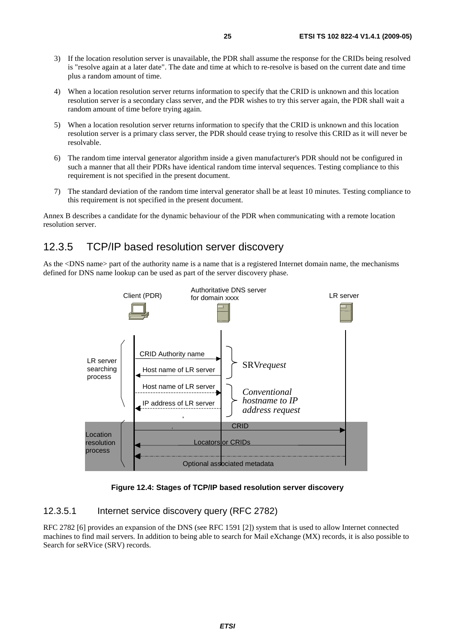- 3) If the location resolution server is unavailable, the PDR shall assume the response for the CRIDs being resolved is "resolve again at a later date". The date and time at which to re-resolve is based on the current date and time plus a random amount of time.
- 4) When a location resolution server returns information to specify that the CRID is unknown and this location resolution server is a secondary class server, and the PDR wishes to try this server again, the PDR shall wait a random amount of time before trying again.
- 5) When a location resolution server returns information to specify that the CRID is unknown and this location resolution server is a primary class server, the PDR should cease trying to resolve this CRID as it will never be resolvable.
- 6) The random time interval generator algorithm inside a given manufacturer's PDR should not be configured in such a manner that all their PDRs have identical random time interval sequences. Testing compliance to this requirement is not specified in the present document.
- 7) The standard deviation of the random time interval generator shall be at least 10 minutes. Testing compliance to this requirement is not specified in the present document.

Annex B describes a candidate for the dynamic behaviour of the PDR when communicating with a remote location resolution server.

### 12.3.5 TCP/IP based resolution server discovery

As the <DNS name> part of the authority name is a name that is a registered Internet domain name, the mechanisms defined for DNS name lookup can be used as part of the server discovery phase.



**Figure 12.4: Stages of TCP/IP based resolution server discovery** 

#### 12.3.5.1 Internet service discovery query (RFC 2782)

RFC 2782 [6] provides an expansion of the DNS (see RFC 1591 [2]) system that is used to allow Internet connected machines to find mail servers. In addition to being able to search for Mail eXchange (MX) records, it is also possible to Search for seRVice (SRV) records.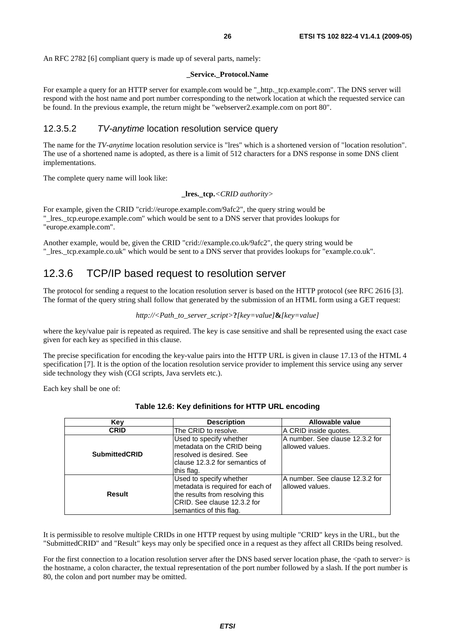#### **\_Service.\_Protocol.Name**

For example a query for an HTTP server for example.com would be "\_http.\_tcp.example.com". The DNS server will respond with the host name and port number corresponding to the network location at which the requested service can be found. In the previous example, the return might be "webserver2.example.com on port 80".

### 12.3.5.2 *TV-anytime* location resolution service query

The name for the *TV-anytime* location resolution service is "lres" which is a shortened version of "location resolution". The use of a shortened name is adopted, as there is a limit of 512 characters for a DNS response in some DNS client implementations.

The complete query name will look like:

```
_lres._tcp.<CRID authority>
```
For example, given the CRID "crid://europe.example.com/9afc2", the query string would be "\_lres.\_tcp.europe.example.com" which would be sent to a DNS server that provides lookups for "europe.example.com".

Another example, would be, given the CRID "crid://example.co.uk/9afc2", the query string would be "\_lres.\_tcp.example.co.uk" which would be sent to a DNS server that provides lookups for "example.co.uk".

### 12.3.6 TCP/IP based request to resolution server

The protocol for sending a request to the location resolution server is based on the HTTP protocol (see RFC 2616 [3]. The format of the query string shall follow that generated by the submission of an HTML form using a GET request:

```
http://<Path_to_server_script>?[key=value]&[key=value]
```
where the key/value pair is repeated as required. The key is case sensitive and shall be represented using the exact case given for each key as specified in this clause.

The precise specification for encoding the key-value pairs into the HTTP URL is given in clause 17.13 of the HTML 4 specification [7]. It is the option of the location resolution service provider to implement this service using any server side technology they wish (CGI scripts, Java servlets etc.).

Each key shall be one of:

| Key                  | <b>Description</b>                                                                                                                                        | Allowable value                                    |
|----------------------|-----------------------------------------------------------------------------------------------------------------------------------------------------------|----------------------------------------------------|
| <b>CRID</b>          | The CRID to resolve.                                                                                                                                      | A CRID inside quotes.                              |
| <b>SubmittedCRID</b> | Used to specify whether<br>metadata on the CRID being<br>resolved is desired. See<br>clause 12.3.2 for semantics of<br>this flag.                         | A number, See clause 12.3.2 for<br>allowed values. |
| <b>Result</b>        | Used to specify whether<br>metadata is required for each of<br>the results from resolving this<br>ICRID. See clause 12.3.2 for<br>semantics of this flag. | A number. See clause 12.3.2 for<br>allowed values. |

| Table 12.6: Key definitions for HTTP URL encoding |  |  |
|---------------------------------------------------|--|--|
|---------------------------------------------------|--|--|

It is permissible to resolve multiple CRIDs in one HTTP request by using multiple "CRID" keys in the URL, but the "SubmittedCRID" and "Result" keys may only be specified once in a request as they affect all CRIDs being resolved.

For the first connection to a location resolution server after the DNS based server location phase, the  $\leq$ path to server> is the hostname, a colon character, the textual representation of the port number followed by a slash. If the port number is 80, the colon and port number may be omitted.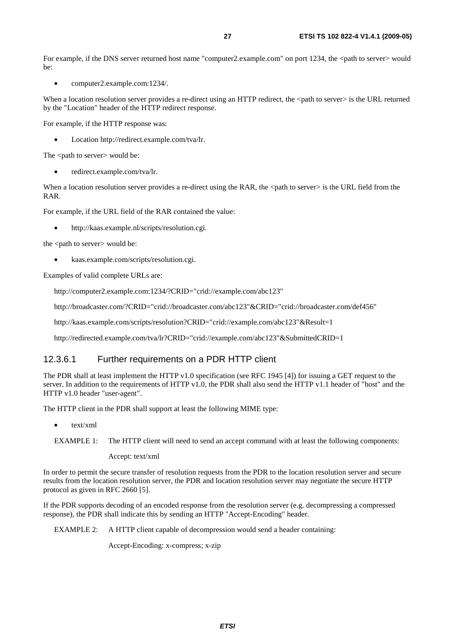For example, if the DNS server returned host name "computer2.example.com" on port 1234, the  $\lt$ path to server $\gt$  would  $he:$ 

• computer2.example.com:1234/.

When a location resolution server provides a re-direct using an HTTP redirect, the <path to server> is the URL returned by the "Location" header of the HTTP redirect response.

For example, if the HTTP response was:

• Location http://redirect.example.com/tva/lr.

The <path to server> would be:

• redirect.example.com/tva/lr.

When a location resolution server provides a re-direct using the RAR, the <path to server> is the URL field from the RAR.

For example, if the URL field of the RAR contained the value:

• http://kaas.example.nl/scripts/resolution.cgi.

the <path to server> would be:

• kaas.example.com/scripts/resolution.cgi.

Examples of valid complete URLs are:

http://computer2.example.com:1234/?CRID="crid://example.com/abc123"

http://broadcaster.com/?CRID="crid://broadcaster.com/abc123"&CRID="crid://broadcaster.com/def456"

http://kaas.example.com/scripts/resolution?CRID="crid://example.com/abc123"&Result=1

http://redirected.example.com/tva/lr?CRID="crid://example.com/abc123"&SubmittedCRID=1

#### 12.3.6.1 Further requirements on a PDR HTTP client

The PDR shall at least implement the HTTP v1.0 specification (see RFC 1945 [4]) for issuing a GET request to the server. In addition to the requirements of HTTP v1.0, the PDR shall also send the HTTP v1.1 header of "host" and the HTTP v1.0 header "user-agent".

The HTTP client in the PDR shall support at least the following MIME type:

• text/xml

Accept: text/xml

In order to permit the secure transfer of resolution requests from the PDR to the location resolution server and secure results from the location resolution server, the PDR and location resolution server may negotiate the secure HTTP protocol as given in RFC 2660 [5].

If the PDR supports decoding of an encoded response from the resolution server (e.g. decompressing a compressed response), the PDR shall indicate this by sending an HTTP "Accept-Encoding" header.

EXAMPLE 2: A HTTP client capable of decompression would send a header containing:

Accept-Encoding: x-compress; x-zip

EXAMPLE 1: The HTTP client will need to send an accept command with at least the following components: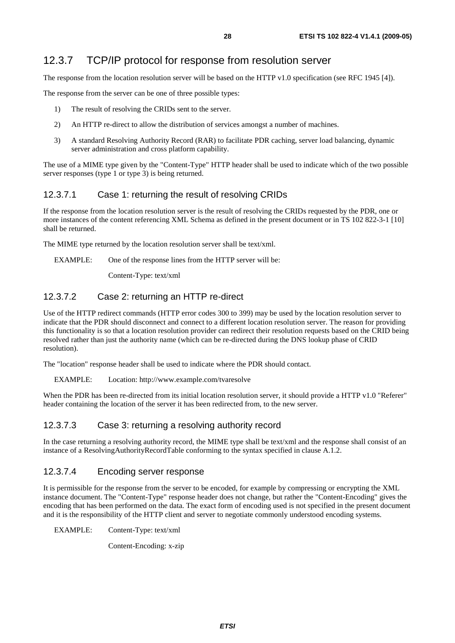### 12.3.7 TCP/IP protocol for response from resolution server

The response from the location resolution server will be based on the HTTP v1.0 specification (see RFC 1945 [4]).

The response from the server can be one of three possible types:

- 1) The result of resolving the CRIDs sent to the server.
- 2) An HTTP re-direct to allow the distribution of services amongst a number of machines.
- 3) A standard Resolving Authority Record (RAR) to facilitate PDR caching, server load balancing, dynamic server administration and cross platform capability.

The use of a MIME type given by the "Content-Type" HTTP header shall be used to indicate which of the two possible server responses (type 1 or type 3) is being returned.

### 12.3.7.1 Case 1: returning the result of resolving CRIDs

If the response from the location resolution server is the result of resolving the CRIDs requested by the PDR, one or more instances of the content referencing XML Schema as defined in the present document or in TS 102 822-3-1 [10] shall be returned.

The MIME type returned by the location resolution server shall be text/xml.

EXAMPLE: One of the response lines from the HTTP server will be:

Content-Type: text/xml

### 12.3.7.2 Case 2: returning an HTTP re-direct

Use of the HTTP redirect commands (HTTP error codes 300 to 399) may be used by the location resolution server to indicate that the PDR should disconnect and connect to a different location resolution server. The reason for providing this functionality is so that a location resolution provider can redirect their resolution requests based on the CRID being resolved rather than just the authority name (which can be re-directed during the DNS lookup phase of CRID resolution).

The "location" response header shall be used to indicate where the PDR should contact.

#### EXAMPLE: Location: http://www.example.com/tvaresolve

When the PDR has been re-directed from its initial location resolution server, it should provide a HTTP v1.0 "Referer" header containing the location of the server it has been redirected from, to the new server.

### 12.3.7.3 Case 3: returning a resolving authority record

In the case returning a resolving authority record, the MIME type shall be text/xml and the response shall consist of an instance of a ResolvingAuthorityRecordTable conforming to the syntax specified in clause A.1.2.

### 12.3.7.4 Encoding server response

It is permissible for the response from the server to be encoded, for example by compressing or encrypting the XML instance document. The "Content-Type" response header does not change, but rather the "Content-Encoding" gives the encoding that has been performed on the data. The exact form of encoding used is not specified in the present document and it is the responsibility of the HTTP client and server to negotiate commonly understood encoding systems.

EXAMPLE: Content-Type: text/xml

Content-Encoding: x-zip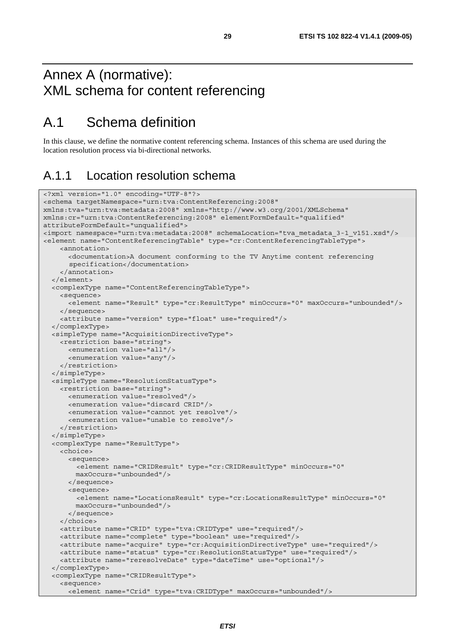# Annex A (normative): XML schema for content referencing

# A.1 Schema definition

In this clause, we define the normative content referencing schema. Instances of this schema are used during the location resolution process via bi-directional networks.

### A.1.1 Location resolution schema

```
<?xml version="1.0" encoding="UTF-8"?> 
<schema targetNamespace="urn:tva:ContentReferencing:2008" 
xmlns:tva="urn:tva:metadata:2008" xmlns="http://www.w3.org/2001/XMLSchema" 
xmlns:cr="urn:tva:ContentReferencing:2008" elementFormDefault="qualified" 
attributeFormDefault="unqualified"> 
<import namespace="urn:tva:metadata:2008" schemaLocation="tva_metadata_3-1_v151.xsd"/> 
<element name="ContentReferencingTable" type="cr:ContentReferencingTableType"> 
     <annotation> 
       <documentation>A document conforming to the TV Anytime content referencing 
       specification</documentation> 
     </annotation> 
   </element> 
   <complexType name="ContentReferencingTableType"> 
     <sequence> 
       <element name="Result" type="cr:ResultType" minOccurs="0" maxOccurs="unbounded"/> 
     </sequence> 
     <attribute name="version" type="float" use="required"/> 
   </complexType> 
   <simpleType name="AcquisitionDirectiveType"> 
     <restriction base="string"> 
       <enumeration value="all"/> 
       <enumeration value="any"/> 
     </restriction> 
   </simpleType> 
   <simpleType name="ResolutionStatusType"> 
     <restriction base="string"> 
       <enumeration value="resolved"/> 
       <enumeration value="discard CRID"/> 
       <enumeration value="cannot yet resolve"/> 
       <enumeration value="unable to resolve"/> 
     </restriction> 
   </simpleType> 
   <complexType name="ResultType"> 
     <choice> 
       <sequence> 
         <element name="CRIDResult" type="cr:CRIDResultType" minOccurs="0" 
         maxOccurs="unbounded"/> 
       </sequence> 
       <sequence> 
         <element name="LocationsResult" type="cr:LocationsResultType" minOccurs="0" 
         maxOccurs="unbounded"/> 
       </sequence> 
     </choice> 
     <attribute name="CRID" type="tva:CRIDType" use="required"/> 
     <attribute name="complete" type="boolean" use="required"/> 
     <attribute name="acquire" type="cr:AcquisitionDirectiveType" use="required"/> 
     <attribute name="status" type="cr:ResolutionStatusType" use="required"/> 
     <attribute name="reresolveDate" type="dateTime" use="optional"/> 
   </complexType> 
   <complexType name="CRIDResultType"> 
     <sequence> 
       <element name="Crid" type="tva:CRIDType" maxOccurs="unbounded"/>
```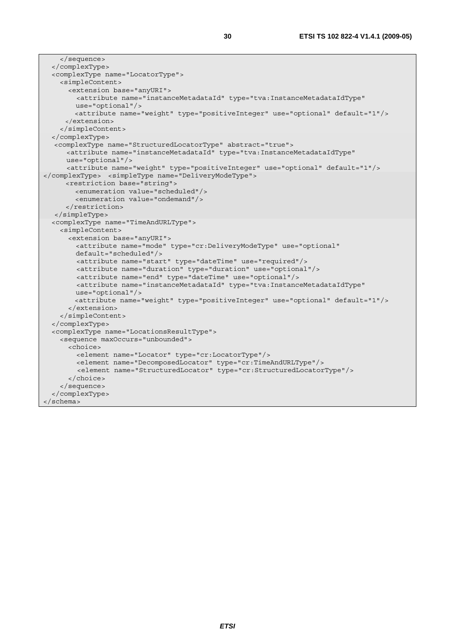```
 </sequence> 
   </complexType> 
   <complexType name="LocatorType"> 
     <simpleContent> 
       <extension base="anyURI"> 
         <attribute name="instanceMetadataId" type="tva:InstanceMetadataIdType" 
         use="optional"/> 
         <attribute name="weight" type="positiveInteger" use="optional" default="1"/> 
      </extension> 
     </simpleContent> 
   </complexType> 
  <complexType name="StructuredLocatorType" abstract="true"> 
       <attribute name="instanceMetadataId" type="tva:InstanceMetadataIdType" 
      use="optional"/> 
      <attribute name="weight" type="positiveInteger" use="optional" default="1"/> 
</complexType> <simpleType name="DeliveryModeType"> 
      <restriction base="string"> 
         <enumeration value="scheduled"/> 
         <enumeration value="ondemand"/> 
      </restriction> 
   </simpleType> 
   <complexType name="TimeAndURLType"> 
     <simpleContent> 
       <extension base="anyURI"> 
         <attribute name="mode" type="cr:DeliveryModeType" use="optional" 
         default="scheduled"/> 
         <attribute name="start" type="dateTime" use="required"/> 
         <attribute name="duration" type="duration" use="optional"/> 
         <attribute name="end" type="dateTime" use="optional"/> 
         <attribute name="instanceMetadataId" type="tva:InstanceMetadataIdType" 
         use="optional"/> 
         <attribute name="weight" type="positiveInteger" use="optional" default="1"/> 
       </extension> 
     </simpleContent> 
   </complexType> 
   <complexType name="LocationsResultType"> 
     <sequence maxOccurs="unbounded"> 
       <choice> 
         <element name="Locator" type="cr:LocatorType"/> 
         <element name="DecomposedLocator" type="cr:TimeAndURLType"/> 
         <element name="StructuredLocator" type="cr:StructuredLocatorType"/> 
       </choice> 
     </sequence> 
   </complexType> 
</schema>
```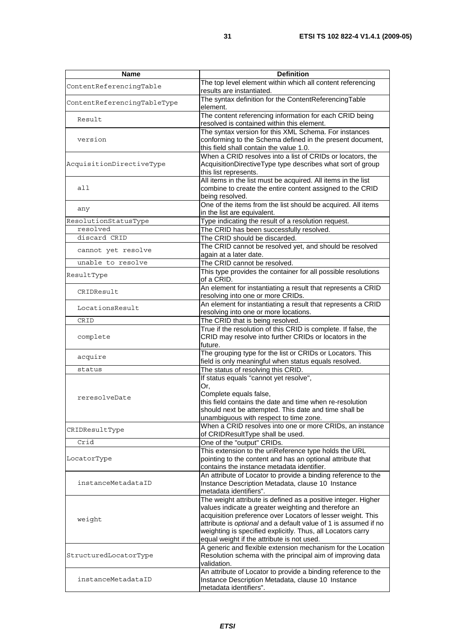| <b>Name</b>                 | <b>Definition</b>                                                                                                                                                                                                                                                                                                                                                    |
|-----------------------------|----------------------------------------------------------------------------------------------------------------------------------------------------------------------------------------------------------------------------------------------------------------------------------------------------------------------------------------------------------------------|
| ContentReferencingTable     | The top level element within which all content referencing<br>results are instantiated.                                                                                                                                                                                                                                                                              |
| ContentReferencingTableType | The syntax definition for the ContentReferencingTable<br>element.                                                                                                                                                                                                                                                                                                    |
| Result                      | The content referencing information for each CRID being<br>resolved is contained within this element.                                                                                                                                                                                                                                                                |
| version                     | The syntax version for this XML Schema. For instances<br>conforming to the Schema defined in the present document,<br>this field shall contain the value 1.0.                                                                                                                                                                                                        |
| AcquisitionDirectiveType    | When a CRID resolves into a list of CRIDs or locators, the<br>AcquisitionDirectiveType type describes what sort of group<br>this list represents.                                                                                                                                                                                                                    |
| all                         | All items in the list must be acquired. All items in the list<br>combine to create the entire content assigned to the CRID<br>being resolved.                                                                                                                                                                                                                        |
| any                         | One of the items from the list should be acquired. All items<br>in the list are equivalent.                                                                                                                                                                                                                                                                          |
| ResolutionStatusType        | Type indicating the result of a resolution request.                                                                                                                                                                                                                                                                                                                  |
| resolved                    | The CRID has been successfully resolved.                                                                                                                                                                                                                                                                                                                             |
| discard CRID                | The CRID should be discarded.                                                                                                                                                                                                                                                                                                                                        |
| cannot yet resolve          | The CRID cannot be resolved yet, and should be resolved                                                                                                                                                                                                                                                                                                              |
|                             | again at a later date.                                                                                                                                                                                                                                                                                                                                               |
| unable to resolve           | The CRID cannot be resolved.                                                                                                                                                                                                                                                                                                                                         |
| ResultType                  | This type provides the container for all possible resolutions<br>of a CRID.                                                                                                                                                                                                                                                                                          |
| CRIDResult                  | An element for instantiating a result that represents a CRID                                                                                                                                                                                                                                                                                                         |
|                             | resolving into one or more CRIDs.                                                                                                                                                                                                                                                                                                                                    |
| LocationsResult             | An element for instantiating a result that represents a CRID<br>resolving into one or more locations.                                                                                                                                                                                                                                                                |
| CRID                        | The CRID that is being resolved.                                                                                                                                                                                                                                                                                                                                     |
|                             | True if the resolution of this CRID is complete. If false, the                                                                                                                                                                                                                                                                                                       |
| complete                    | CRID may resolve into further CRIDs or locators in the<br>future.                                                                                                                                                                                                                                                                                                    |
| acquire                     | The grouping type for the list or CRIDs or Locators. This<br>field is only meaningful when status equals resolved.                                                                                                                                                                                                                                                   |
| status                      | The status of resolving this CRID.                                                                                                                                                                                                                                                                                                                                   |
| reresolveDate               | If status equals "cannot yet resolve",<br>Or,<br>Complete equals false,<br>this field contains the date and time when re-resolution<br>should next be attempted. This date and time shall be<br>unambiguous with respect to time zone.                                                                                                                               |
| CRIDResultType              | When a CRID resolves into one or more CRIDs, an instance<br>of CRIDResultType shall be used.                                                                                                                                                                                                                                                                         |
| Crid                        | One of the "output" CRIDs.                                                                                                                                                                                                                                                                                                                                           |
| LocatorType                 | This extension to the uriReference type holds the URL<br>pointing to the content and has an optional attribute that<br>contains the instance metadata identifier.                                                                                                                                                                                                    |
| instanceMetadataID          | An attribute of Locator to provide a binding reference to the<br>Instance Description Metadata, clause 10 Instance<br>metadata identifiers".                                                                                                                                                                                                                         |
| weight                      | The weight attribute is defined as a positive integer. Higher<br>values indicate a greater weighting and therefore an<br>acquisition preference over Locators of lesser weight. This<br>attribute is optional and a default value of 1 is assumed if no<br>weighting is specified explicitly. Thus, all Locators carry<br>equal weight if the attribute is not used. |
| StructuredLocatorType       | A generic and flexible extension mechanism for the Location<br>Resolution schema with the principal aim of improving data<br>validation.                                                                                                                                                                                                                             |
| instanceMetadataID          | An attribute of Locator to provide a binding reference to the<br>Instance Description Metadata, clause 10 Instance<br>metadata identifiers".                                                                                                                                                                                                                         |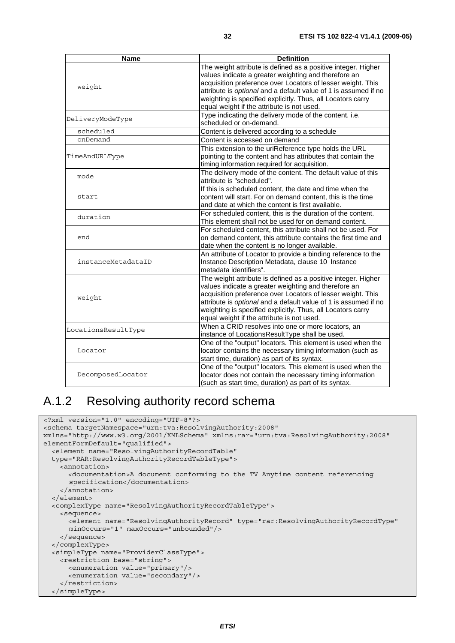| <b>Name</b>         | <b>Definition</b>                                               |
|---------------------|-----------------------------------------------------------------|
|                     | The weight attribute is defined as a positive integer. Higher   |
|                     | values indicate a greater weighting and therefore an            |
| weight              | acquisition preference over Locators of lesser weight. This     |
|                     | attribute is optional and a default value of 1 is assumed if no |
|                     | weighting is specified explicitly. Thus, all Locators carry     |
|                     | equal weight if the attribute is not used.                      |
|                     | Type indicating the delivery mode of the content. i.e.          |
| DeliveryModeType    | scheduled or on-demand.                                         |
| scheduled           | Content is delivered according to a schedule                    |
| onDemand            | Content is accessed on demand                                   |
|                     | This extension to the uriReference type holds the URL           |
| TimeAndURLType      | pointing to the content and has attributes that contain the     |
|                     | timing information required for acquisition.                    |
|                     | The delivery mode of the content. The default value of this     |
| mode                | attribute is "scheduled".                                       |
|                     | If this is scheduled content, the date and time when the        |
| start               | content will start. For on demand content, this is the time     |
|                     | and date at which the content is first available.               |
| duration            | For scheduled content, this is the duration of the content.     |
|                     | This element shall not be used for on demand content.           |
|                     | For scheduled content, this attribute shall not be used. For    |
| end                 | on demand content, this attribute contains the first time and   |
|                     | date when the content is no longer available.                   |
|                     | An attribute of Locator to provide a binding reference to the   |
| instanceMetadataID  | Instance Description Metadata, clause 10 Instance               |
|                     | metadata identifiers".                                          |
|                     | The weight attribute is defined as a positive integer. Higher   |
|                     | values indicate a greater weighting and therefore an            |
| weight              | acquisition preference over Locators of lesser weight. This     |
|                     | attribute is optional and a default value of 1 is assumed if no |
|                     | weighting is specified explicitly. Thus, all Locators carry     |
|                     | equal weight if the attribute is not used.                      |
| LocationsResultType | When a CRID resolves into one or more locators, an              |
|                     | instance of LocationsResultType shall be used.                  |
|                     | One of the "output" locators. This element is used when the     |
| Locator             | locator contains the necessary timing information (such as      |
|                     | start time, duration) as part of its syntax.                    |
|                     | One of the "output" locators. This element is used when the     |
| DecomposedLocator   | locator does not contain the necessary timing information       |
|                     | (such as start time, duration) as part of its syntax.           |

# A.1.2 Resolving authority record schema

```
<?xml version="1.0" encoding="UTF-8"?> 
<schema targetNamespace="urn:tva:ResolvingAuthority:2008" 
xmlns="http://www.w3.org/2001/XMLSchema" xmlns:rar="urn:tva:ResolvingAuthority:2008" 
elementFormDefault="qualified"> 
   <element name="ResolvingAuthorityRecordTable" 
   type="RAR:ResolvingAuthorityRecordTableType"> 
     <annotation> 
       <documentation>A document conforming to the TV Anytime content referencing 
       specification</documentation> 
     </annotation> 
   </element> 
   <complexType name="ResolvingAuthorityRecordTableType"> 
     <sequence> 
       <element name="ResolvingAuthorityRecord" type="rar:ResolvingAuthorityRecordType" 
       minOccurs="1" maxOccurs="unbounded"/> 
     </sequence> 
   </complexType> 
   <simpleType name="ProviderClassType"> 
     <restriction base="string"> 
       <enumeration value="primary"/> 
       <enumeration value="secondary"/> 
     </restriction> 
   </simpleType>
```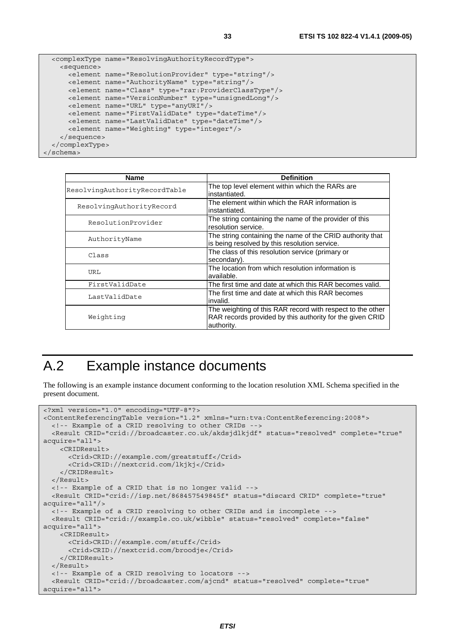```
 <complexType name="ResolvingAuthorityRecordType"> 
     <sequence> 
       <element name="ResolutionProvider" type="string"/> 
       <element name="AuthorityName" type="string"/> 
       <element name="Class" type="rar:ProviderClassType"/> 
       <element name="VersionNumber" type="unsignedLong"/> 
       <element name="URL" type="anyURI"/> 
       <element name="FirstValidDate" type="dateTime"/> 
       <element name="LastValidDate" type="dateTime"/> 
       <element name="Weighting" type="integer"/> 
     </sequence> 
   </complexType> 
</schema>
```

| Name                          | <b>Definition</b>                                                                                                                     |
|-------------------------------|---------------------------------------------------------------------------------------------------------------------------------------|
| ResolvingAuthorityRecordTable | The top level element within which the RARs are<br>instantiated.                                                                      |
| ResolvingAuthorityRecord      | The element within which the RAR information is<br>instantiated.                                                                      |
| ResolutionProvider            | The string containing the name of the provider of this<br>resolution service.                                                         |
| AuthorityName                 | The string containing the name of the CRID authority that<br>is being resolved by this resolution service.                            |
| Class                         | The class of this resolution service (primary or<br>secondary).                                                                       |
| URL                           | The location from which resolution information is<br>available.                                                                       |
| FirstValidDate                | The first time and date at which this RAR becomes valid.                                                                              |
| LastValidDate                 | The first time and date at which this RAR becomes<br>invalid.                                                                         |
| Weighting                     | The weighting of this RAR record with respect to the other<br>RAR records provided by this authority for the given CRID<br>authority. |

# A.2 Example instance documents

The following is an example instance document conforming to the location resolution XML Schema specified in the present document.

```
<?xml version="1.0" encoding="UTF-8"?> 
<ContentReferencingTable version="1.2" xmlns="urn:tva:ContentReferencing:2008"> 
   <!-- Example of a CRID resolving to other CRIDs --> 
   <Result CRID="crid://broadcaster.co.uk/akdsjdlkjdf" status="resolved" complete="true" 
acquire="all"> 
     <CRIDResult> 
       <Crid>CRID://example.com/greatstuff</Crid> 
       <Crid>CRID://nextcrid.com/lkjkj</Crid> 
    </CRIDResult> 
   </Result> 
   <!-- Example of a CRID that is no longer valid --> 
   <Result CRID="crid://isp.net/868457549845f" status="discard CRID" complete="true" 
acquire="all"/> 
   <!-- Example of a CRID resolving to other CRIDs and is incomplete --> 
   <Result CRID="crid://example.co.uk/wibble" status="resolved" complete="false" 
acquire="all"> 
    \leqCRIDResult>
       <Crid>CRID://example.com/stuff</Crid> 
       <Crid>CRID://nextcrid.com/broodje</Crid> 
    </CRIDResult> 
   </Result> 
   <!-- Example of a CRID resolving to locators --> 
   <Result CRID="crid://broadcaster.com/ajcnd" status="resolved" complete="true" 
acquire="all">
```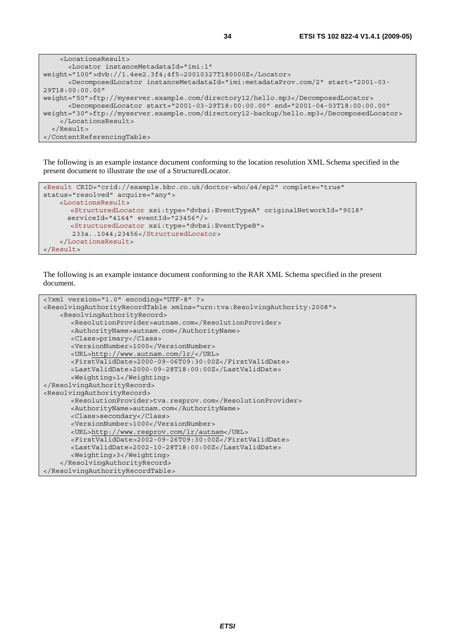| <locationsresult></locationsresult>                                                                                                                                     |
|-------------------------------------------------------------------------------------------------------------------------------------------------------------------------|
| <locator <="" instancemetadataid="imi:1" td=""></locator>                                                                                                               |
| weight="100">dvb://1.4ee2.3f4;4f5~20010327T180000Z                                                                                                                      |
| <decomposedlocator <="" instancemetadataid="imi:metadataProv.com/2" start="2001-03-&lt;/td&gt;&lt;/tr&gt;&lt;tr&gt;&lt;td&gt;29T18:00:00.00" td=""></decomposedlocator> |
| weight="50">ftp://myserver.example.com/directory12/hello.mp3                                                                                                            |
| <decomposedlocator <="" end="2001-04-03T18:00:00.00" start="2001-03-29T18:00:00.00" td=""></decomposedlocator>                                                          |
| weight="30">ftp://myserver.example.com/directory12-backup/hello.mp3                                                                                                     |
|                                                                                                                                                                         |
| $\langle$ Result>                                                                                                                                                       |
|                                                                                                                                                                         |

The following is an example instance document conforming to the location resolution XML Schema specified in the present document to illustrate the use of a StructuredLocator.

```
<Result CRID="crid://example.bbc.co.uk/doctor-who/s4/ep2" complete="true" 
status="resolved" acquire="any"> 
     <LocationsResult> 
       <StructuredLocator xsi:type="dvbsi:EventTypeA" originalNetworkId="9018" 
       serviceId="4164" eventId="23456"/> 
       <StructuredLocator xsi:type="dvbsi:EventTypeB"> 
        233a..1044;23456</StructuredLocator> 
     </LocationsResult> 
</Result>
```
The following is an example instance document conforming to the RAR XML Schema specified in the present document.

```
<?xml version="1.0" encoding="UTF-8" ?> 
<ResolvingAuthorityRecordTable xmlns="urn:tva:ResolvingAuthority:2008"> 
     <ResolvingAuthorityRecord> 
       <ResolutionProvider>autnam.com</ResolutionProvider> 
      <AuthorityName>autnam.com</AuthorityName> 
      <Class>primary</Class> 
      <VersionNumber>1000</VersionNumber> 
      <URL>http://www.autnam.com/lr/</URL> 
      <FirstValidDate>2000-09-06T09:30:00Z</FirstValidDate> 
      <LastValidDate>2000-09-28T18:00:00Z</LastValidDate> 
      <Weighting>1</Weighting> 
</ResolvingAuthorityRecord> 
<ResolvingAuthorityRecord> 
      <ResolutionProvider>tva.resprov.com</ResolutionProvider> 
      <AuthorityName>autnam.com</AuthorityName> 
      <Class>secondary</Class> 
      <VersionNumber>1000</VersionNumber> 
      <URL>http://www.resprov.com/lr/autnam</URL> 
      <FirstValidDate>2002-09-26T09:30:00Z</FirstValidDate> 
      <LastValidDate>2002-10-28T18:00:00Z</LastValidDate> 
       <Weighting>3</Weighting> 
     </ResolvingAuthorityRecord> 
</ResolvingAuthorityRecordTable>
```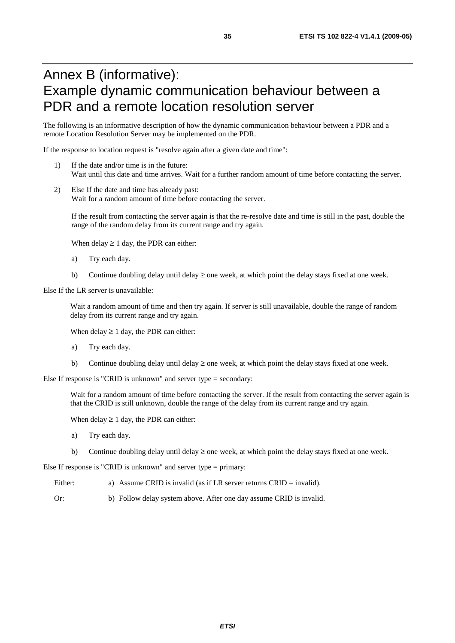# Annex B (informative): Example dynamic communication behaviour between a PDR and a remote location resolution server

The following is an informative description of how the dynamic communication behaviour between a PDR and a remote Location Resolution Server may be implemented on the PDR.

If the response to location request is "resolve again after a given date and time":

- 1) If the date and/or time is in the future: Wait until this date and time arrives. Wait for a further random amount of time before contacting the server.
- 2) Else If the date and time has already past: Wait for a random amount of time before contacting the server.

If the result from contacting the server again is that the re-resolve date and time is still in the past, double the range of the random delay from its current range and try again.

When delay  $\geq 1$  day, the PDR can either:

- a) Try each day.
- b) Continue doubling delay until delay  $\geq$  one week, at which point the delay stays fixed at one week.

Else If the LR server is unavailable:

Wait a random amount of time and then try again. If server is still unavailable, double the range of random delay from its current range and try again.

When delay  $\geq 1$  day, the PDR can either:

- a) Try each day.
- b) Continue doubling delay until delay  $\geq$  one week, at which point the delay stays fixed at one week.

Else If response is "CRID is unknown" and server type = secondary:

Wait for a random amount of time before contacting the server. If the result from contacting the server again is that the CRID is still unknown, double the range of the delay from its current range and try again.

When delay  $\geq 1$  day, the PDR can either:

- a) Try each day.
- b) Continue doubling delay until delay  $\geq$  one week, at which point the delay stays fixed at one week.

Else If response is "CRID is unknown" and server type = primary:

- Either: a) Assume CRID is invalid (as if LR server returns CRID = invalid).
- Or: b) Follow delay system above. After one day assume CRID is invalid.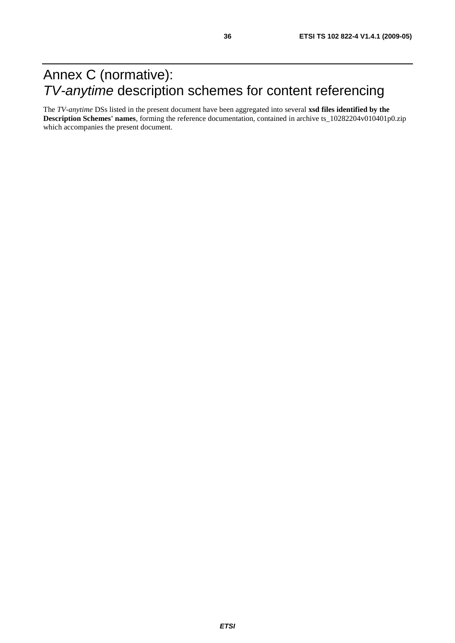# Annex C (normative): *TV-anytime* description schemes for content referencing

The *TV-anytime* DSs listed in the present document have been aggregated into several **xsd files identified by the Description Schemes' names**, forming the reference documentation, contained in archive ts\_10282204v010401p0.zip which accompanies the present document.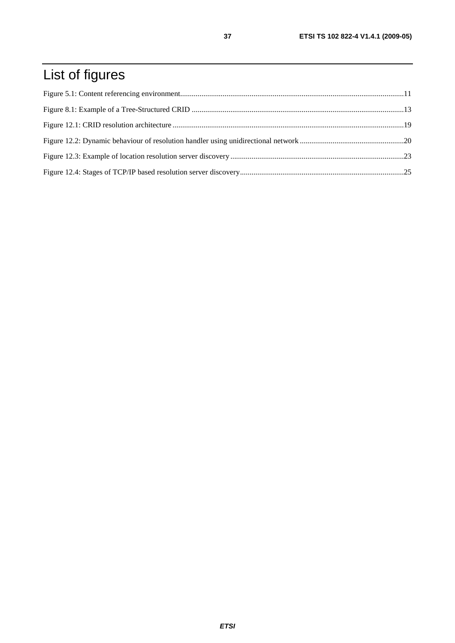# List of figures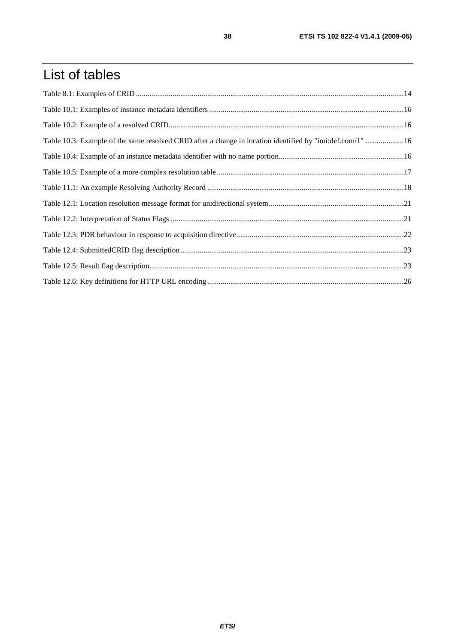# List of tables

| Table 10.3: Example of the same resolved CRID after a change in location identified by "imi:def.com/1" 16 |  |
|-----------------------------------------------------------------------------------------------------------|--|
|                                                                                                           |  |
|                                                                                                           |  |
|                                                                                                           |  |
|                                                                                                           |  |
|                                                                                                           |  |
|                                                                                                           |  |
|                                                                                                           |  |
|                                                                                                           |  |
|                                                                                                           |  |